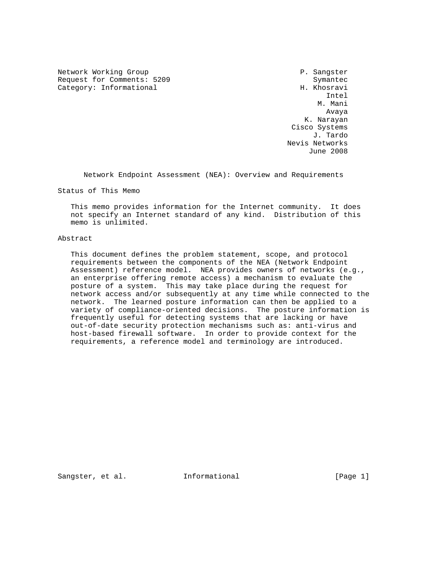Network Working Group **P. Sangster** Request for Comments: 5209 Symantec Category: Informational **H. Khosravi** 

 Intel M. Mani Avaya K. Narayan Cisco Systems J. Tardo Nevis Networks June 2008

Network Endpoint Assessment (NEA): Overview and Requirements

Status of This Memo

 This memo provides information for the Internet community. It does not specify an Internet standard of any kind. Distribution of this memo is unlimited.

#### Abstract

 This document defines the problem statement, scope, and protocol requirements between the components of the NEA (Network Endpoint Assessment) reference model. NEA provides owners of networks (e.g., an enterprise offering remote access) a mechanism to evaluate the posture of a system. This may take place during the request for network access and/or subsequently at any time while connected to the network. The learned posture information can then be applied to a variety of compliance-oriented decisions. The posture information is frequently useful for detecting systems that are lacking or have out-of-date security protection mechanisms such as: anti-virus and host-based firewall software. In order to provide context for the requirements, a reference model and terminology are introduced.

Sangster, et al. **Informational** [Page 1]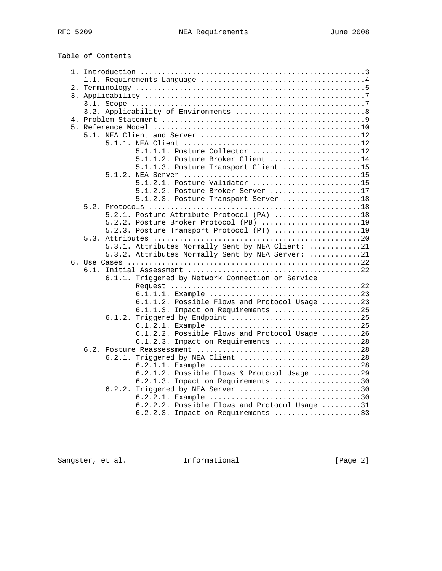| Table of Contents |  |
|-------------------|--|
|-------------------|--|

| 5.1.1.1. Posture Collector 12                     |
|---------------------------------------------------|
| 5.1.1.2. Posture Broker Client 14                 |
| 5.1.1.3. Posture Transport Client 15              |
|                                                   |
| $5.1.2.1.$ Posture Validator 15                   |
| 5.1.2.2. Posture Broker Server 17                 |
| 5.1.2.3. Posture Transport Server 18              |
|                                                   |
|                                                   |
| 5.2.1. Posture Attribute Protocol (PA) 18         |
| 5.2.2. Posture Broker Protocol (PB) 19            |
| 5.2.3. Posture Transport Protocol (PT) 19         |
|                                                   |
| 5.3.1. Attributes Normally Sent by NEA Client: 21 |
| 5.3.2. Attributes Normally Sent by NEA Server: 21 |
|                                                   |
| 6.1.                                              |
| 6.1.1. Triggered by Network Connection or Service |
|                                                   |
|                                                   |
| 6.1.1.2. Possible Flows and Protocol Usage 23     |
| 6.1.1.3. Impact on Requirements 25                |
| 6.1.2. Triggered by Endpoint 25                   |
|                                                   |
| 6.1.2.2. Possible Flows and Protocol Usage 26     |
| 6.1.2.3. Impact on Requirements 28                |
|                                                   |
| 6.2.1. Triggered by NEA Client 28                 |
|                                                   |
| 6.2.1.2. Possible Flows & Protocol Usage 29       |
| 6.2.1.3. Impact on Requirements 30                |
| Triggered by NEA Server 30<br>6.2.2.              |
|                                                   |
| $6.2.2.2$ . Possible Flows and Protocol Usage 31  |
| 6.2.2.3. Impact on Requirements 33                |

Sangster, et al. 1nformational 1999 [Page 2]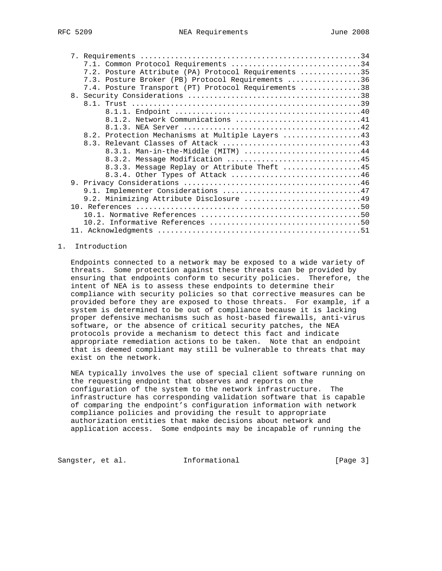|  | 7.1. Common Protocol Requirements 34                 |  |
|--|------------------------------------------------------|--|
|  | 7.2. Posture Attribute (PA) Protocol Requirements 35 |  |
|  | 7.3. Posture Broker (PB) Protocol Requirements 36    |  |
|  | 7.4. Posture Transport (PT) Protocol Requirements 38 |  |
|  |                                                      |  |
|  |                                                      |  |
|  |                                                      |  |
|  | 8.1.2. Network Communications 41                     |  |
|  |                                                      |  |
|  | 8.2. Protection Mechanisms at Multiple Layers 43     |  |
|  |                                                      |  |
|  | 8.3.1. Man-in-the-Middle (MITM) 44                   |  |
|  | 8.3.2. Message Modification 45                       |  |
|  | 8.3.3. Message Replay or Attribute Theft 45          |  |
|  | 8.3.4. Other Types of Attack 46                      |  |
|  |                                                      |  |
|  | 9.1. Implementer Considerations 47                   |  |
|  | 9.2. Minimizing Attribute Disclosure 49              |  |
|  |                                                      |  |
|  |                                                      |  |
|  |                                                      |  |
|  |                                                      |  |

## 1. Introduction

 Endpoints connected to a network may be exposed to a wide variety of threats. Some protection against these threats can be provided by ensuring that endpoints conform to security policies. Therefore, the intent of NEA is to assess these endpoints to determine their compliance with security policies so that corrective measures can be provided before they are exposed to those threats. For example, if a system is determined to be out of compliance because it is lacking proper defensive mechanisms such as host-based firewalls, anti-virus software, or the absence of critical security patches, the NEA protocols provide a mechanism to detect this fact and indicate appropriate remediation actions to be taken. Note that an endpoint that is deemed compliant may still be vulnerable to threats that may exist on the network.

 NEA typically involves the use of special client software running on the requesting endpoint that observes and reports on the configuration of the system to the network infrastructure. The infrastructure has corresponding validation software that is capable of comparing the endpoint's configuration information with network compliance policies and providing the result to appropriate authorization entities that make decisions about network and application access. Some endpoints may be incapable of running the

Sangster, et al. 1nformational 1999 [Page 3]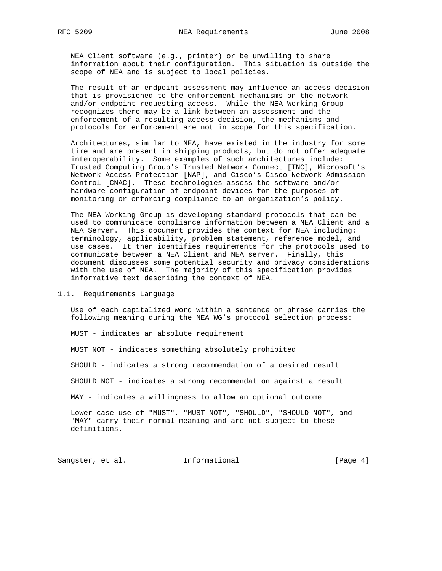NEA Client software (e.g., printer) or be unwilling to share information about their configuration. This situation is outside the scope of NEA and is subject to local policies.

 The result of an endpoint assessment may influence an access decision that is provisioned to the enforcement mechanisms on the network and/or endpoint requesting access. While the NEA Working Group recognizes there may be a link between an assessment and the enforcement of a resulting access decision, the mechanisms and protocols for enforcement are not in scope for this specification.

 Architectures, similar to NEA, have existed in the industry for some time and are present in shipping products, but do not offer adequate interoperability. Some examples of such architectures include: Trusted Computing Group's Trusted Network Connect [TNC], Microsoft's Network Access Protection [NAP], and Cisco's Cisco Network Admission Control [CNAC]. These technologies assess the software and/or hardware configuration of endpoint devices for the purposes of monitoring or enforcing compliance to an organization's policy.

 The NEA Working Group is developing standard protocols that can be used to communicate compliance information between a NEA Client and a NEA Server. This document provides the context for NEA including: terminology, applicability, problem statement, reference model, and use cases. It then identifies requirements for the protocols used to communicate between a NEA Client and NEA server. Finally, this document discusses some potential security and privacy considerations with the use of NEA. The majority of this specification provides informative text describing the context of NEA.

#### 1.1. Requirements Language

 Use of each capitalized word within a sentence or phrase carries the following meaning during the NEA WG's protocol selection process:

MUST - indicates an absolute requirement

MUST NOT - indicates something absolutely prohibited

SHOULD - indicates a strong recommendation of a desired result

SHOULD NOT - indicates a strong recommendation against a result

MAY - indicates a willingness to allow an optional outcome

 Lower case use of "MUST", "MUST NOT", "SHOULD", "SHOULD NOT", and "MAY" carry their normal meaning and are not subject to these definitions.

Sangster, et al. 1nformational 1999 [Page 4]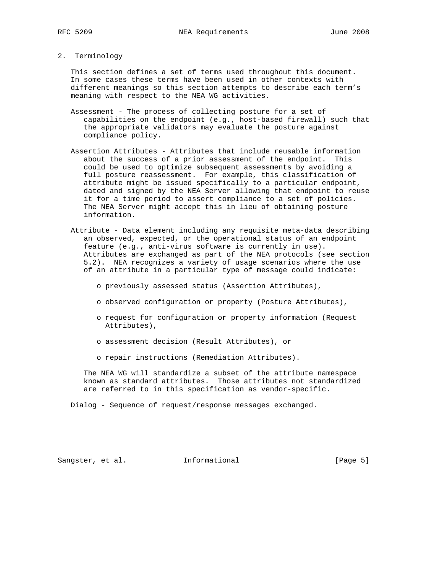## 2. Terminology

 This section defines a set of terms used throughout this document. In some cases these terms have been used in other contexts with different meanings so this section attempts to describe each term's meaning with respect to the NEA WG activities.

- Assessment The process of collecting posture for a set of capabilities on the endpoint (e.g., host-based firewall) such that the appropriate validators may evaluate the posture against compliance policy.
- Assertion Attributes Attributes that include reusable information about the success of a prior assessment of the endpoint. This could be used to optimize subsequent assessments by avoiding a full posture reassessment. For example, this classification of attribute might be issued specifically to a particular endpoint, dated and signed by the NEA Server allowing that endpoint to reuse it for a time period to assert compliance to a set of policies. The NEA Server might accept this in lieu of obtaining posture information.
- Attribute Data element including any requisite meta-data describing an observed, expected, or the operational status of an endpoint feature (e.g., anti-virus software is currently in use). Attributes are exchanged as part of the NEA protocols (see section 5.2). NEA recognizes a variety of usage scenarios where the use of an attribute in a particular type of message could indicate:
	- o previously assessed status (Assertion Attributes),
	- o observed configuration or property (Posture Attributes),
	- o request for configuration or property information (Request Attributes),
	- o assessment decision (Result Attributes), or
	- o repair instructions (Remediation Attributes).

 The NEA WG will standardize a subset of the attribute namespace known as standard attributes. Those attributes not standardized are referred to in this specification as vendor-specific.

Dialog - Sequence of request/response messages exchanged.

Sangster, et al. 1nformational 1999 [Page 5]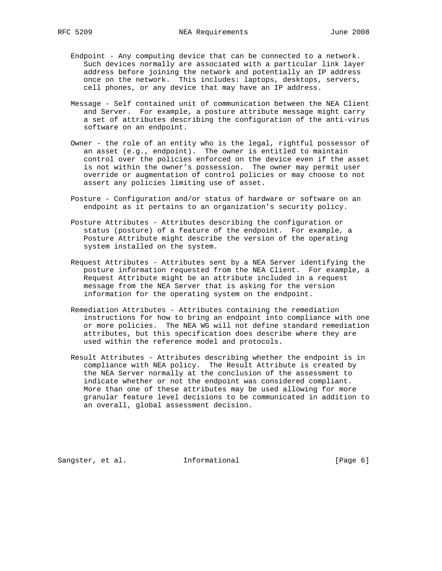- Endpoint Any computing device that can be connected to a network. Such devices normally are associated with a particular link layer address before joining the network and potentially an IP address once on the network. This includes: laptops, desktops, servers, cell phones, or any device that may have an IP address.
- Message Self contained unit of communication between the NEA Client and Server. For example, a posture attribute message might carry a set of attributes describing the configuration of the anti-virus software on an endpoint.
- Owner the role of an entity who is the legal, rightful possessor of an asset (e.g., endpoint). The owner is entitled to maintain control over the policies enforced on the device even if the asset is not within the owner's possession. The owner may permit user override or augmentation of control policies or may choose to not assert any policies limiting use of asset.
- Posture Configuration and/or status of hardware or software on an endpoint as it pertains to an organization's security policy.
- Posture Attributes Attributes describing the configuration or status (posture) of a feature of the endpoint. For example, a Posture Attribute might describe the version of the operating system installed on the system.
- Request Attributes Attributes sent by a NEA Server identifying the posture information requested from the NEA Client. For example, a Request Attribute might be an attribute included in a request message from the NEA Server that is asking for the version information for the operating system on the endpoint.
- Remediation Attributes Attributes containing the remediation instructions for how to bring an endpoint into compliance with one or more policies. The NEA WG will not define standard remediation attributes, but this specification does describe where they are used within the reference model and protocols.
- Result Attributes Attributes describing whether the endpoint is in compliance with NEA policy. The Result Attribute is created by the NEA Server normally at the conclusion of the assessment to indicate whether or not the endpoint was considered compliant. More than one of these attributes may be used allowing for more granular feature level decisions to be communicated in addition to an overall, global assessment decision.

Sangster, et al. **Informational** [Page 6]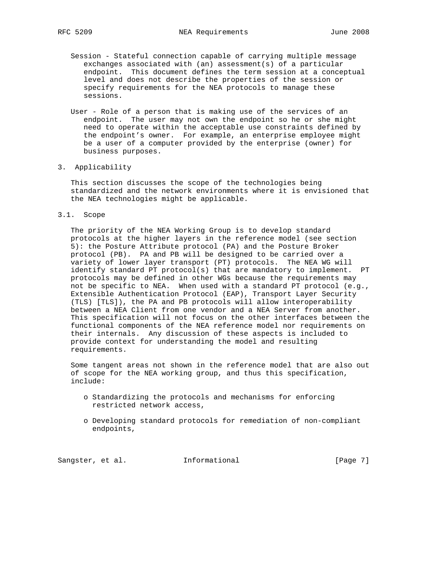- Session Stateful connection capable of carrying multiple message exchanges associated with (an) assessment(s) of a particular endpoint. This document defines the term session at a conceptual level and does not describe the properties of the session or specify requirements for the NEA protocols to manage these sessions.
- User Role of a person that is making use of the services of an endpoint. The user may not own the endpoint so he or she might need to operate within the acceptable use constraints defined by the endpoint's owner. For example, an enterprise employee might be a user of a computer provided by the enterprise (owner) for business purposes.

#### 3. Applicability

 This section discusses the scope of the technologies being standardized and the network environments where it is envisioned that the NEA technologies might be applicable.

3.1. Scope

 The priority of the NEA Working Group is to develop standard protocols at the higher layers in the reference model (see section 5): the Posture Attribute protocol (PA) and the Posture Broker protocol (PB). PA and PB will be designed to be carried over a variety of lower layer transport (PT) protocols. The NEA WG will identify standard PT protocol(s) that are mandatory to implement. PT protocols may be defined in other WGs because the requirements may not be specific to NEA. When used with a standard PT protocol (e.g., Extensible Authentication Protocol (EAP), Transport Layer Security (TLS) [TLS]), the PA and PB protocols will allow interoperability between a NEA Client from one vendor and a NEA Server from another. This specification will not focus on the other interfaces between the functional components of the NEA reference model nor requirements on their internals. Any discussion of these aspects is included to provide context for understanding the model and resulting requirements.

 Some tangent areas not shown in the reference model that are also out of scope for the NEA working group, and thus this specification, include:

- o Standardizing the protocols and mechanisms for enforcing restricted network access,
- o Developing standard protocols for remediation of non-compliant endpoints,

Sangster, et al. 1nformational [Page 7]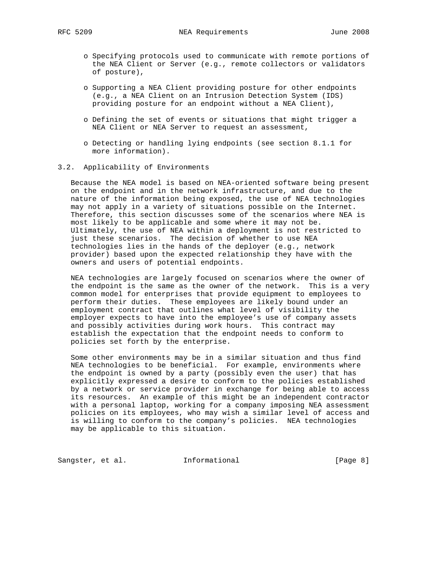- o Specifying protocols used to communicate with remote portions of the NEA Client or Server (e.g., remote collectors or validators of posture),
- o Supporting a NEA Client providing posture for other endpoints (e.g., a NEA Client on an Intrusion Detection System (IDS) providing posture for an endpoint without a NEA Client),
- o Defining the set of events or situations that might trigger a NEA Client or NEA Server to request an assessment,
- o Detecting or handling lying endpoints (see section 8.1.1 for more information).

#### 3.2. Applicability of Environments

 Because the NEA model is based on NEA-oriented software being present on the endpoint and in the network infrastructure, and due to the nature of the information being exposed, the use of NEA technologies may not apply in a variety of situations possible on the Internet. Therefore, this section discusses some of the scenarios where NEA is most likely to be applicable and some where it may not be. Ultimately, the use of NEA within a deployment is not restricted to just these scenarios. The decision of whether to use NEA technologies lies in the hands of the deployer (e.g., network provider) based upon the expected relationship they have with the owners and users of potential endpoints.

 NEA technologies are largely focused on scenarios where the owner of the endpoint is the same as the owner of the network. This is a very common model for enterprises that provide equipment to employees to perform their duties. These employees are likely bound under an employment contract that outlines what level of visibility the employer expects to have into the employee's use of company assets and possibly activities during work hours. This contract may establish the expectation that the endpoint needs to conform to policies set forth by the enterprise.

 Some other environments may be in a similar situation and thus find NEA technologies to be beneficial. For example, environments where the endpoint is owned by a party (possibly even the user) that has explicitly expressed a desire to conform to the policies established by a network or service provider in exchange for being able to access its resources. An example of this might be an independent contractor with a personal laptop, working for a company imposing NEA assessment policies on its employees, who may wish a similar level of access and is willing to conform to the company's policies. NEA technologies may be applicable to this situation.

Sangster, et al. 1nformational 1999 [Page 8]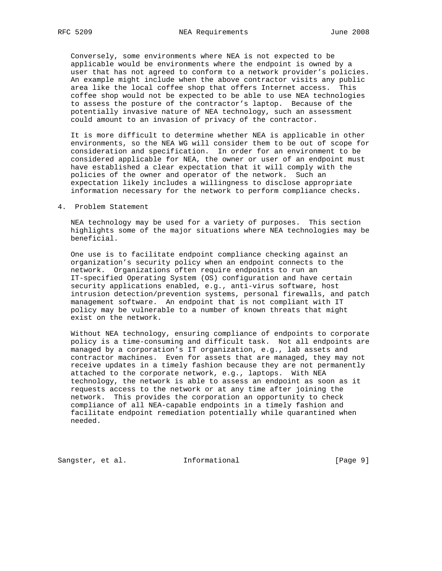Conversely, some environments where NEA is not expected to be applicable would be environments where the endpoint is owned by a user that has not agreed to conform to a network provider's policies. An example might include when the above contractor visits any public area like the local coffee shop that offers Internet access. This coffee shop would not be expected to be able to use NEA technologies to assess the posture of the contractor's laptop. Because of the potentially invasive nature of NEA technology, such an assessment could amount to an invasion of privacy of the contractor.

 It is more difficult to determine whether NEA is applicable in other environments, so the NEA WG will consider them to be out of scope for consideration and specification. In order for an environment to be considered applicable for NEA, the owner or user of an endpoint must have established a clear expectation that it will comply with the policies of the owner and operator of the network. Such an expectation likely includes a willingness to disclose appropriate information necessary for the network to perform compliance checks.

4. Problem Statement

 NEA technology may be used for a variety of purposes. This section highlights some of the major situations where NEA technologies may be beneficial.

 One use is to facilitate endpoint compliance checking against an organization's security policy when an endpoint connects to the network. Organizations often require endpoints to run an IT-specified Operating System (OS) configuration and have certain security applications enabled, e.g., anti-virus software, host intrusion detection/prevention systems, personal firewalls, and patch management software. An endpoint that is not compliant with IT policy may be vulnerable to a number of known threats that might exist on the network.

 Without NEA technology, ensuring compliance of endpoints to corporate policy is a time-consuming and difficult task. Not all endpoints are managed by a corporation's IT organization, e.g., lab assets and contractor machines. Even for assets that are managed, they may not receive updates in a timely fashion because they are not permanently attached to the corporate network, e.g., laptops. With NEA technology, the network is able to assess an endpoint as soon as it requests access to the network or at any time after joining the network. This provides the corporation an opportunity to check compliance of all NEA-capable endpoints in a timely fashion and facilitate endpoint remediation potentially while quarantined when needed.

Sangster, et al. 1nformational 1999 [Page 9]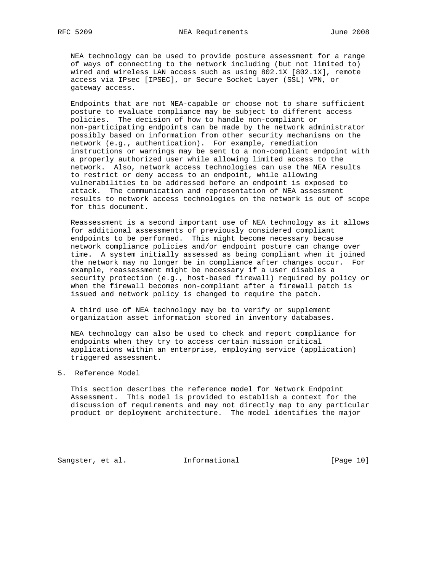NEA technology can be used to provide posture assessment for a range of ways of connecting to the network including (but not limited to) wired and wireless LAN access such as using 802.1X [802.1X], remote access via IPsec [IPSEC], or Secure Socket Layer (SSL) VPN, or gateway access.

 Endpoints that are not NEA-capable or choose not to share sufficient posture to evaluate compliance may be subject to different access policies. The decision of how to handle non-compliant or non-participating endpoints can be made by the network administrator possibly based on information from other security mechanisms on the network (e.g., authentication). For example, remediation instructions or warnings may be sent to a non-compliant endpoint with a properly authorized user while allowing limited access to the network. Also, network access technologies can use the NEA results to restrict or deny access to an endpoint, while allowing vulnerabilities to be addressed before an endpoint is exposed to attack. The communication and representation of NEA assessment results to network access technologies on the network is out of scope for this document.

 Reassessment is a second important use of NEA technology as it allows for additional assessments of previously considered compliant endpoints to be performed. This might become necessary because network compliance policies and/or endpoint posture can change over time. A system initially assessed as being compliant when it joined the network may no longer be in compliance after changes occur. For example, reassessment might be necessary if a user disables a security protection (e.g., host-based firewall) required by policy or when the firewall becomes non-compliant after a firewall patch is issued and network policy is changed to require the patch.

 A third use of NEA technology may be to verify or supplement organization asset information stored in inventory databases.

 NEA technology can also be used to check and report compliance for endpoints when they try to access certain mission critical applications within an enterprise, employing service (application) triggered assessment.

5. Reference Model

 This section describes the reference model for Network Endpoint Assessment. This model is provided to establish a context for the discussion of requirements and may not directly map to any particular product or deployment architecture. The model identifies the major

Sangster, et al. 1nformational [Page 10]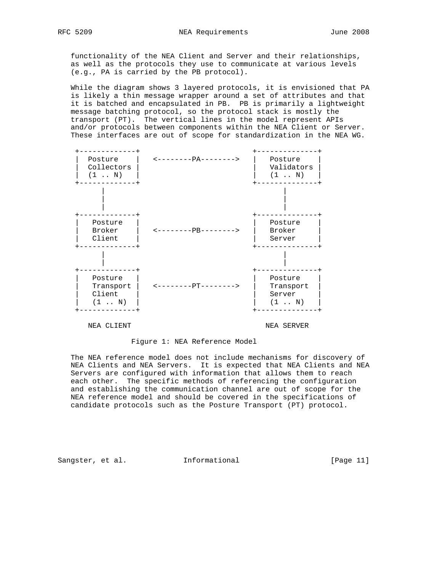functionality of the NEA Client and Server and their relationships, as well as the protocols they use to communicate at various levels (e.g., PA is carried by the PB protocol).

 While the diagram shows 3 layered protocols, it is envisioned that PA is likely a thin message wrapper around a set of attributes and that it is batched and encapsulated in PB. PB is primarily a lightweight message batching protocol, so the protocol stack is mostly the transport (PT). The vertical lines in the model represent APIs and/or protocols between components within the NEA Client or Server. These interfaces are out of scope for standardization in the NEA WG.



#### Figure 1: NEA Reference Model

 The NEA reference model does not include mechanisms for discovery of NEA Clients and NEA Servers. It is expected that NEA Clients and NEA Servers are configured with information that allows them to reach each other. The specific methods of referencing the configuration and establishing the communication channel are out of scope for the NEA reference model and should be covered in the specifications of candidate protocols such as the Posture Transport (PT) protocol.

Sangster, et al. 1nformational [Page 11]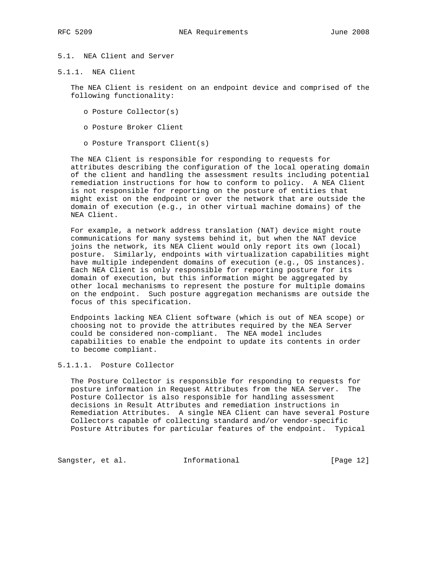# 5.1. NEA Client and Server

5.1.1. NEA Client

 The NEA Client is resident on an endpoint device and comprised of the following functionality:

- o Posture Collector(s)
- o Posture Broker Client
- o Posture Transport Client(s)

 The NEA Client is responsible for responding to requests for attributes describing the configuration of the local operating domain of the client and handling the assessment results including potential remediation instructions for how to conform to policy. A NEA Client is not responsible for reporting on the posture of entities that might exist on the endpoint or over the network that are outside the domain of execution (e.g., in other virtual machine domains) of the NEA Client.

 For example, a network address translation (NAT) device might route communications for many systems behind it, but when the NAT device joins the network, its NEA Client would only report its own (local) posture. Similarly, endpoints with virtualization capabilities might have multiple independent domains of execution (e.g., OS instances). Each NEA Client is only responsible for reporting posture for its domain of execution, but this information might be aggregated by other local mechanisms to represent the posture for multiple domains on the endpoint. Such posture aggregation mechanisms are outside the focus of this specification.

 Endpoints lacking NEA Client software (which is out of NEA scope) or choosing not to provide the attributes required by the NEA Server could be considered non-compliant. The NEA model includes capabilities to enable the endpoint to update its contents in order to become compliant.

5.1.1.1. Posture Collector

 The Posture Collector is responsible for responding to requests for posture information in Request Attributes from the NEA Server. The Posture Collector is also responsible for handling assessment decisions in Result Attributes and remediation instructions in Remediation Attributes. A single NEA Client can have several Posture Collectors capable of collecting standard and/or vendor-specific Posture Attributes for particular features of the endpoint. Typical

Sangster, et al. 1nformational [Page 12]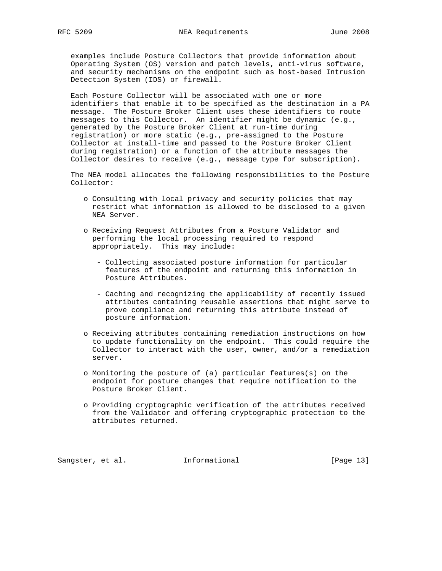examples include Posture Collectors that provide information about Operating System (OS) version and patch levels, anti-virus software, and security mechanisms on the endpoint such as host-based Intrusion Detection System (IDS) or firewall.

 Each Posture Collector will be associated with one or more identifiers that enable it to be specified as the destination in a PA message. The Posture Broker Client uses these identifiers to route messages to this Collector. An identifier might be dynamic (e.g., generated by the Posture Broker Client at run-time during registration) or more static (e.g., pre-assigned to the Posture Collector at install-time and passed to the Posture Broker Client during registration) or a function of the attribute messages the Collector desires to receive (e.g., message type for subscription).

 The NEA model allocates the following responsibilities to the Posture Collector:

- o Consulting with local privacy and security policies that may restrict what information is allowed to be disclosed to a given NEA Server.
- o Receiving Request Attributes from a Posture Validator and performing the local processing required to respond appropriately. This may include:
	- Collecting associated posture information for particular features of the endpoint and returning this information in Posture Attributes.
	- Caching and recognizing the applicability of recently issued attributes containing reusable assertions that might serve to prove compliance and returning this attribute instead of posture information.
- o Receiving attributes containing remediation instructions on how to update functionality on the endpoint. This could require the Collector to interact with the user, owner, and/or a remediation server.
- o Monitoring the posture of (a) particular features(s) on the endpoint for posture changes that require notification to the Posture Broker Client.
- o Providing cryptographic verification of the attributes received from the Validator and offering cryptographic protection to the attributes returned.

Sangster, et al. 1nformational 1999 [Page 13]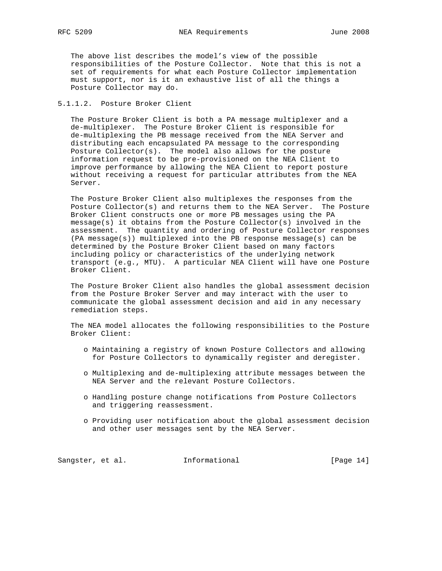The above list describes the model's view of the possible responsibilities of the Posture Collector. Note that this is not a set of requirements for what each Posture Collector implementation must support, nor is it an exhaustive list of all the things a Posture Collector may do.

#### 5.1.1.2. Posture Broker Client

 The Posture Broker Client is both a PA message multiplexer and a de-multiplexer. The Posture Broker Client is responsible for de-multiplexing the PB message received from the NEA Server and distributing each encapsulated PA message to the corresponding Posture Collector(s). The model also allows for the posture information request to be pre-provisioned on the NEA Client to improve performance by allowing the NEA Client to report posture without receiving a request for particular attributes from the NEA Server.

 The Posture Broker Client also multiplexes the responses from the Posture Collector(s) and returns them to the NEA Server. The Posture Broker Client constructs one or more PB messages using the PA message(s) it obtains from the Posture Collector(s) involved in the assessment. The quantity and ordering of Posture Collector responses (PA message(s)) multiplexed into the PB response message(s) can be determined by the Posture Broker Client based on many factors including policy or characteristics of the underlying network transport (e.g., MTU). A particular NEA Client will have one Posture Broker Client.

 The Posture Broker Client also handles the global assessment decision from the Posture Broker Server and may interact with the user to communicate the global assessment decision and aid in any necessary remediation steps.

 The NEA model allocates the following responsibilities to the Posture Broker Client:

- o Maintaining a registry of known Posture Collectors and allowing for Posture Collectors to dynamically register and deregister.
- o Multiplexing and de-multiplexing attribute messages between the NEA Server and the relevant Posture Collectors.
- o Handling posture change notifications from Posture Collectors and triggering reassessment.
- o Providing user notification about the global assessment decision and other user messages sent by the NEA Server.

Sangster, et al. 1nformational 1999 [Page 14]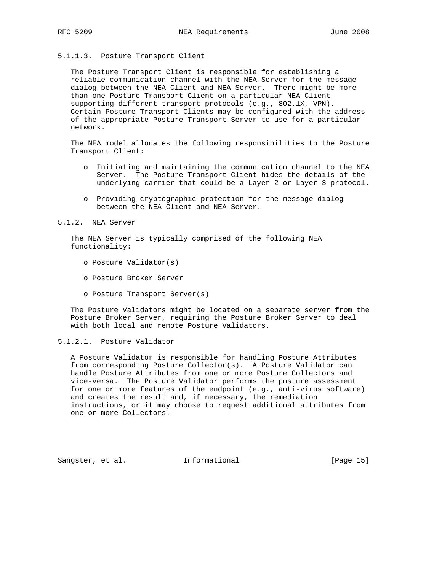## 5.1.1.3. Posture Transport Client

 The Posture Transport Client is responsible for establishing a reliable communication channel with the NEA Server for the message dialog between the NEA Client and NEA Server. There might be more than one Posture Transport Client on a particular NEA Client supporting different transport protocols (e.g., 802.1X, VPN). Certain Posture Transport Clients may be configured with the address of the appropriate Posture Transport Server to use for a particular network.

 The NEA model allocates the following responsibilities to the Posture Transport Client:

- o Initiating and maintaining the communication channel to the NEA Server. The Posture Transport Client hides the details of the underlying carrier that could be a Layer 2 or Layer 3 protocol.
- o Providing cryptographic protection for the message dialog between the NEA Client and NEA Server.

5.1.2. NEA Server

 The NEA Server is typically comprised of the following NEA functionality:

- o Posture Validator(s)
- o Posture Broker Server
- o Posture Transport Server(s)

 The Posture Validators might be located on a separate server from the Posture Broker Server, requiring the Posture Broker Server to deal with both local and remote Posture Validators.

# 5.1.2.1. Posture Validator

 A Posture Validator is responsible for handling Posture Attributes from corresponding Posture Collector(s). A Posture Validator can handle Posture Attributes from one or more Posture Collectors and vice-versa. The Posture Validator performs the posture assessment for one or more features of the endpoint (e.g., anti-virus software) and creates the result and, if necessary, the remediation instructions, or it may choose to request additional attributes from one or more Collectors.

Sangster, et al. **Informational** [Page 15]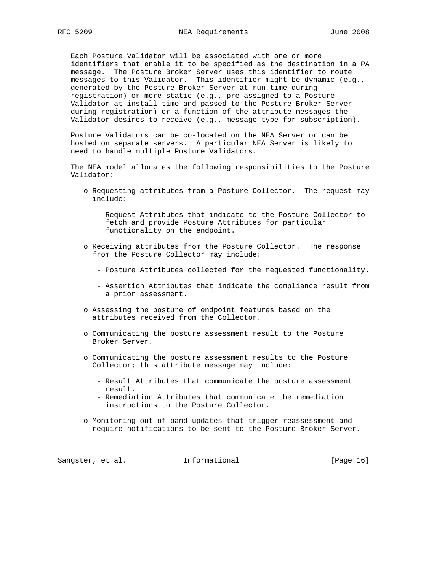Each Posture Validator will be associated with one or more identifiers that enable it to be specified as the destination in a PA message. The Posture Broker Server uses this identifier to route messages to this Validator. This identifier might be dynamic (e.g., generated by the Posture Broker Server at run-time during registration) or more static (e.g., pre-assigned to a Posture Validator at install-time and passed to the Posture Broker Server during registration) or a function of the attribute messages the Validator desires to receive (e.g., message type for subscription).

 Posture Validators can be co-located on the NEA Server or can be hosted on separate servers. A particular NEA Server is likely to need to handle multiple Posture Validators.

 The NEA model allocates the following responsibilities to the Posture Validator:

- o Requesting attributes from a Posture Collector. The request may include:
	- Request Attributes that indicate to the Posture Collector to fetch and provide Posture Attributes for particular functionality on the endpoint.
- o Receiving attributes from the Posture Collector. The response from the Posture Collector may include:
	- Posture Attributes collected for the requested functionality.
	- Assertion Attributes that indicate the compliance result from a prior assessment.
- o Assessing the posture of endpoint features based on the attributes received from the Collector.
- o Communicating the posture assessment result to the Posture Broker Server.
- o Communicating the posture assessment results to the Posture Collector; this attribute message may include:
	- Result Attributes that communicate the posture assessment result.
	- Remediation Attributes that communicate the remediation instructions to the Posture Collector.
- o Monitoring out-of-band updates that trigger reassessment and require notifications to be sent to the Posture Broker Server.

Sangster, et al. 1nformational [Page 16]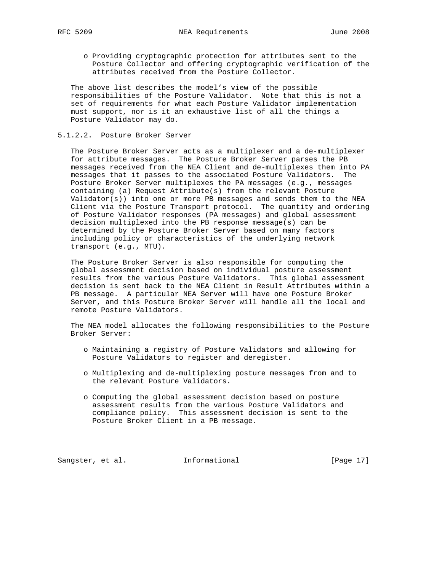o Providing cryptographic protection for attributes sent to the Posture Collector and offering cryptographic verification of the attributes received from the Posture Collector.

 The above list describes the model's view of the possible responsibilities of the Posture Validator. Note that this is not a set of requirements for what each Posture Validator implementation must support, nor is it an exhaustive list of all the things a Posture Validator may do.

#### 5.1.2.2. Posture Broker Server

 The Posture Broker Server acts as a multiplexer and a de-multiplexer for attribute messages. The Posture Broker Server parses the PB messages received from the NEA Client and de-multiplexes them into PA messages that it passes to the associated Posture Validators. The Posture Broker Server multiplexes the PA messages (e.g., messages containing (a) Request Attribute(s) from the relevant Posture Validator(s)) into one or more PB messages and sends them to the NEA Client via the Posture Transport protocol. The quantity and ordering of Posture Validator responses (PA messages) and global assessment decision multiplexed into the PB response message(s) can be determined by the Posture Broker Server based on many factors including policy or characteristics of the underlying network transport (e.g., MTU).

 The Posture Broker Server is also responsible for computing the global assessment decision based on individual posture assessment results from the various Posture Validators. This global assessment decision is sent back to the NEA Client in Result Attributes within a PB message. A particular NEA Server will have one Posture Broker Server, and this Posture Broker Server will handle all the local and remote Posture Validators.

 The NEA model allocates the following responsibilities to the Posture Broker Server:

- o Maintaining a registry of Posture Validators and allowing for Posture Validators to register and deregister.
- o Multiplexing and de-multiplexing posture messages from and to the relevant Posture Validators.
- o Computing the global assessment decision based on posture assessment results from the various Posture Validators and compliance policy. This assessment decision is sent to the Posture Broker Client in a PB message.

Sangster, et al. 1nformational 1999 [Page 17]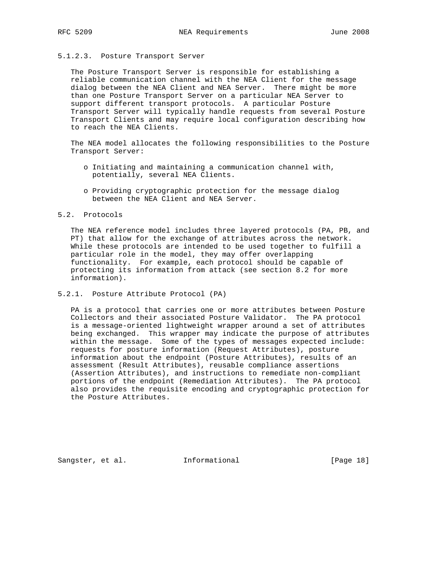#### 5.1.2.3. Posture Transport Server

 The Posture Transport Server is responsible for establishing a reliable communication channel with the NEA Client for the message dialog between the NEA Client and NEA Server. There might be more than one Posture Transport Server on a particular NEA Server to support different transport protocols. A particular Posture Transport Server will typically handle requests from several Posture Transport Clients and may require local configuration describing how to reach the NEA Clients.

 The NEA model allocates the following responsibilities to the Posture Transport Server:

- o Initiating and maintaining a communication channel with, potentially, several NEA Clients.
- o Providing cryptographic protection for the message dialog between the NEA Client and NEA Server.

## 5.2. Protocols

 The NEA reference model includes three layered protocols (PA, PB, and PT) that allow for the exchange of attributes across the network. While these protocols are intended to be used together to fulfill a particular role in the model, they may offer overlapping functionality. For example, each protocol should be capable of protecting its information from attack (see section 8.2 for more information).

#### 5.2.1. Posture Attribute Protocol (PA)

 PA is a protocol that carries one or more attributes between Posture Collectors and their associated Posture Validator. The PA protocol is a message-oriented lightweight wrapper around a set of attributes being exchanged. This wrapper may indicate the purpose of attributes within the message. Some of the types of messages expected include: requests for posture information (Request Attributes), posture information about the endpoint (Posture Attributes), results of an assessment (Result Attributes), reusable compliance assertions (Assertion Attributes), and instructions to remediate non-compliant portions of the endpoint (Remediation Attributes). The PA protocol also provides the requisite encoding and cryptographic protection for the Posture Attributes.

Sangster, et al. 1nformational 1999 [Page 18]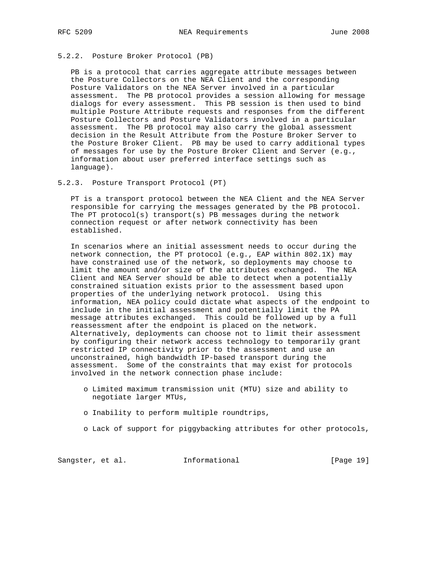## 5.2.2. Posture Broker Protocol (PB)

 PB is a protocol that carries aggregate attribute messages between the Posture Collectors on the NEA Client and the corresponding Posture Validators on the NEA Server involved in a particular assessment. The PB protocol provides a session allowing for message dialogs for every assessment. This PB session is then used to bind multiple Posture Attribute requests and responses from the different Posture Collectors and Posture Validators involved in a particular assessment. The PB protocol may also carry the global assessment decision in the Result Attribute from the Posture Broker Server to the Posture Broker Client. PB may be used to carry additional types of messages for use by the Posture Broker Client and Server (e.g., information about user preferred interface settings such as language).

#### 5.2.3. Posture Transport Protocol (PT)

 PT is a transport protocol between the NEA Client and the NEA Server responsible for carrying the messages generated by the PB protocol. The PT protocol(s) transport(s) PB messages during the network connection request or after network connectivity has been established.

 In scenarios where an initial assessment needs to occur during the network connection, the PT protocol (e.g., EAP within 802.1X) may have constrained use of the network, so deployments may choose to limit the amount and/or size of the attributes exchanged. The NEA Client and NEA Server should be able to detect when a potentially constrained situation exists prior to the assessment based upon properties of the underlying network protocol. Using this information, NEA policy could dictate what aspects of the endpoint to include in the initial assessment and potentially limit the PA message attributes exchanged. This could be followed up by a full reassessment after the endpoint is placed on the network. Alternatively, deployments can choose not to limit their assessment by configuring their network access technology to temporarily grant restricted IP connectivity prior to the assessment and use an unconstrained, high bandwidth IP-based transport during the assessment. Some of the constraints that may exist for protocols involved in the network connection phase include:

- o Limited maximum transmission unit (MTU) size and ability to negotiate larger MTUs,
- o Inability to perform multiple roundtrips,
- o Lack of support for piggybacking attributes for other protocols,

Sangster, et al. 1nformational [Page 19]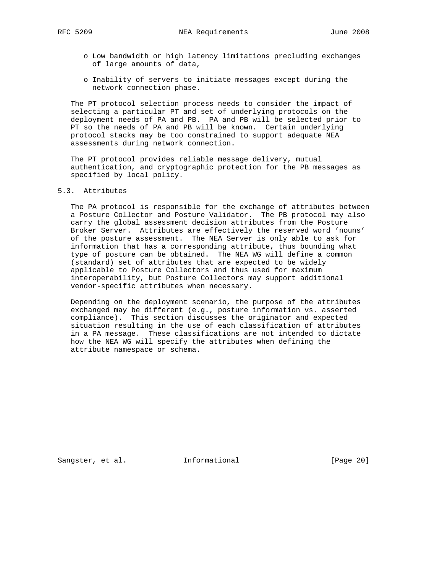- o Low bandwidth or high latency limitations precluding exchanges of large amounts of data,
- o Inability of servers to initiate messages except during the network connection phase.

 The PT protocol selection process needs to consider the impact of selecting a particular PT and set of underlying protocols on the deployment needs of PA and PB. PA and PB will be selected prior to PT so the needs of PA and PB will be known. Certain underlying protocol stacks may be too constrained to support adequate NEA assessments during network connection.

 The PT protocol provides reliable message delivery, mutual authentication, and cryptographic protection for the PB messages as specified by local policy.

## 5.3. Attributes

 The PA protocol is responsible for the exchange of attributes between a Posture Collector and Posture Validator. The PB protocol may also carry the global assessment decision attributes from the Posture Broker Server. Attributes are effectively the reserved word 'nouns' of the posture assessment. The NEA Server is only able to ask for information that has a corresponding attribute, thus bounding what type of posture can be obtained. The NEA WG will define a common (standard) set of attributes that are expected to be widely applicable to Posture Collectors and thus used for maximum interoperability, but Posture Collectors may support additional vendor-specific attributes when necessary.

 Depending on the deployment scenario, the purpose of the attributes exchanged may be different (e.g., posture information vs. asserted compliance). This section discusses the originator and expected situation resulting in the use of each classification of attributes in a PA message. These classifications are not intended to dictate how the NEA WG will specify the attributes when defining the attribute namespace or schema.

Sangster, et al. 1nformational 1999 [Page 20]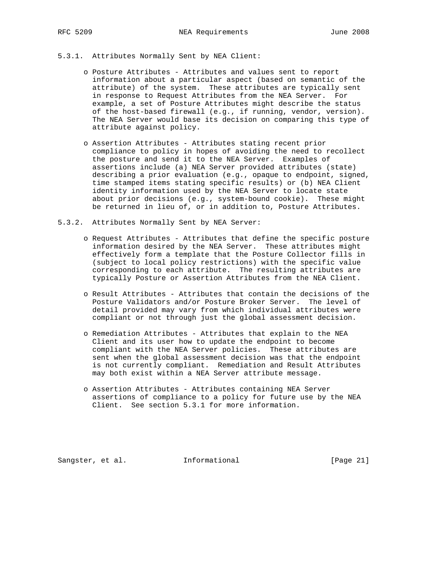#### 5.3.1. Attributes Normally Sent by NEA Client:

- o Posture Attributes Attributes and values sent to report information about a particular aspect (based on semantic of the attribute) of the system. These attributes are typically sent in response to Request Attributes from the NEA Server. For example, a set of Posture Attributes might describe the status of the host-based firewall (e.g., if running, vendor, version). The NEA Server would base its decision on comparing this type of attribute against policy.
- o Assertion Attributes Attributes stating recent prior compliance to policy in hopes of avoiding the need to recollect the posture and send it to the NEA Server. Examples of assertions include (a) NEA Server provided attributes (state) describing a prior evaluation (e.g., opaque to endpoint, signed, time stamped items stating specific results) or (b) NEA Client identity information used by the NEA Server to locate state about prior decisions (e.g., system-bound cookie). These might be returned in lieu of, or in addition to, Posture Attributes.
- 5.3.2. Attributes Normally Sent by NEA Server:
	- o Request Attributes Attributes that define the specific posture information desired by the NEA Server. These attributes might effectively form a template that the Posture Collector fills in (subject to local policy restrictions) with the specific value corresponding to each attribute. The resulting attributes are typically Posture or Assertion Attributes from the NEA Client.
	- o Result Attributes Attributes that contain the decisions of the Posture Validators and/or Posture Broker Server. The level of detail provided may vary from which individual attributes were compliant or not through just the global assessment decision.
	- o Remediation Attributes Attributes that explain to the NEA Client and its user how to update the endpoint to become compliant with the NEA Server policies. These attributes are sent when the global assessment decision was that the endpoint is not currently compliant. Remediation and Result Attributes may both exist within a NEA Server attribute message.
	- o Assertion Attributes Attributes containing NEA Server assertions of compliance to a policy for future use by the NEA Client. See section 5.3.1 for more information.

Sangster, et al. **Informational** [Page 21]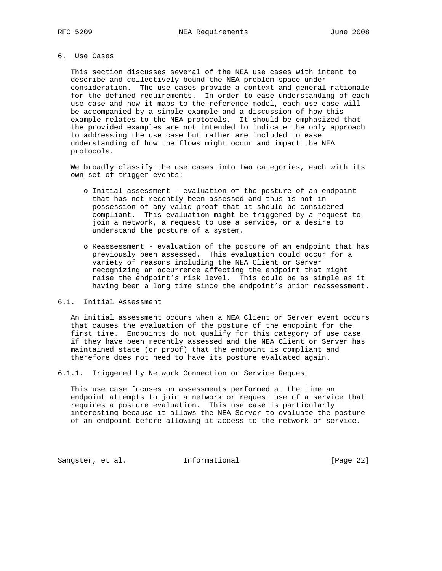## 6. Use Cases

 This section discusses several of the NEA use cases with intent to describe and collectively bound the NEA problem space under consideration. The use cases provide a context and general rationale for the defined requirements. In order to ease understanding of each use case and how it maps to the reference model, each use case will be accompanied by a simple example and a discussion of how this example relates to the NEA protocols. It should be emphasized that the provided examples are not intended to indicate the only approach to addressing the use case but rather are included to ease understanding of how the flows might occur and impact the NEA protocols.

 We broadly classify the use cases into two categories, each with its own set of trigger events:

- o Initial assessment evaluation of the posture of an endpoint that has not recently been assessed and thus is not in possession of any valid proof that it should be considered compliant. This evaluation might be triggered by a request to join a network, a request to use a service, or a desire to understand the posture of a system.
- o Reassessment evaluation of the posture of an endpoint that has previously been assessed. This evaluation could occur for a variety of reasons including the NEA Client or Server recognizing an occurrence affecting the endpoint that might raise the endpoint's risk level. This could be as simple as it having been a long time since the endpoint's prior reassessment.

## 6.1. Initial Assessment

 An initial assessment occurs when a NEA Client or Server event occurs that causes the evaluation of the posture of the endpoint for the first time. Endpoints do not qualify for this category of use case if they have been recently assessed and the NEA Client or Server has maintained state (or proof) that the endpoint is compliant and therefore does not need to have its posture evaluated again.

6.1.1. Triggered by Network Connection or Service Request

 This use case focuses on assessments performed at the time an endpoint attempts to join a network or request use of a service that requires a posture evaluation. This use case is particularly interesting because it allows the NEA Server to evaluate the posture of an endpoint before allowing it access to the network or service.

Sangster, et al. 1nformational [Page 22]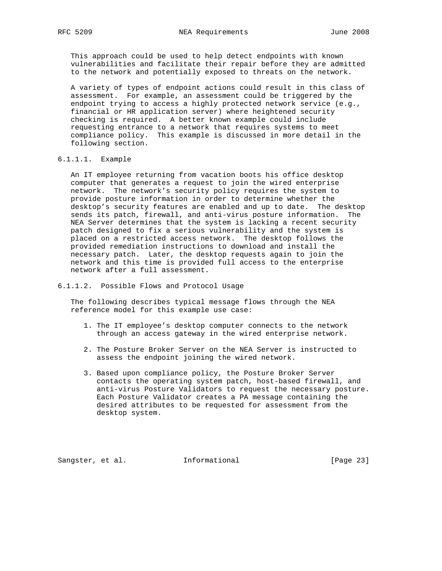This approach could be used to help detect endpoints with known vulnerabilities and facilitate their repair before they are admitted to the network and potentially exposed to threats on the network.

 A variety of types of endpoint actions could result in this class of assessment. For example, an assessment could be triggered by the endpoint trying to access a highly protected network service (e.g., financial or HR application server) where heightened security checking is required. A better known example could include requesting entrance to a network that requires systems to meet compliance policy. This example is discussed in more detail in the following section.

## 6.1.1.1. Example

 An IT employee returning from vacation boots his office desktop computer that generates a request to join the wired enterprise network. The network's security policy requires the system to provide posture information in order to determine whether the desktop's security features are enabled and up to date. The desktop sends its patch, firewall, and anti-virus posture information. The NEA Server determines that the system is lacking a recent security patch designed to fix a serious vulnerability and the system is placed on a restricted access network. The desktop follows the provided remediation instructions to download and install the necessary patch. Later, the desktop requests again to join the network and this time is provided full access to the enterprise network after a full assessment.

#### 6.1.1.2. Possible Flows and Protocol Usage

 The following describes typical message flows through the NEA reference model for this example use case:

- 1. The IT employee's desktop computer connects to the network through an access gateway in the wired enterprise network.
- 2. The Posture Broker Server on the NEA Server is instructed to assess the endpoint joining the wired network.
- 3. Based upon compliance policy, the Posture Broker Server contacts the operating system patch, host-based firewall, and anti-virus Posture Validators to request the necessary posture. Each Posture Validator creates a PA message containing the desired attributes to be requested for assessment from the desktop system.

Sangster, et al. 1nformational 1999 [Page 23]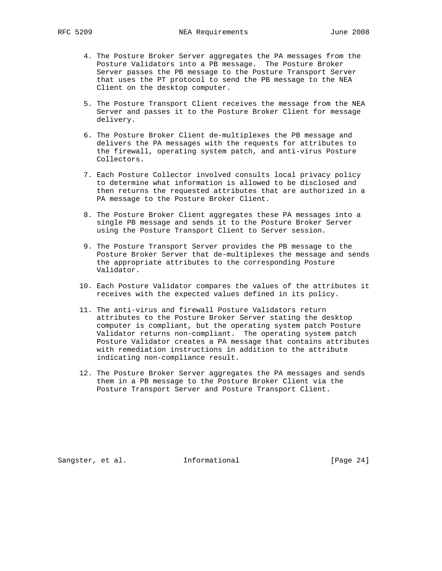- 4. The Posture Broker Server aggregates the PA messages from the Posture Validators into a PB message. The Posture Broker Server passes the PB message to the Posture Transport Server that uses the PT protocol to send the PB message to the NEA Client on the desktop computer.
- 5. The Posture Transport Client receives the message from the NEA Server and passes it to the Posture Broker Client for message delivery.
- 6. The Posture Broker Client de-multiplexes the PB message and delivers the PA messages with the requests for attributes to the firewall, operating system patch, and anti-virus Posture Collectors.
- 7. Each Posture Collector involved consults local privacy policy to determine what information is allowed to be disclosed and then returns the requested attributes that are authorized in a PA message to the Posture Broker Client.
- 8. The Posture Broker Client aggregates these PA messages into a single PB message and sends it to the Posture Broker Server using the Posture Transport Client to Server session.
- 9. The Posture Transport Server provides the PB message to the Posture Broker Server that de-multiplexes the message and sends the appropriate attributes to the corresponding Posture Validator.
- 10. Each Posture Validator compares the values of the attributes it receives with the expected values defined in its policy.
- 11. The anti-virus and firewall Posture Validators return attributes to the Posture Broker Server stating the desktop computer is compliant, but the operating system patch Posture Validator returns non-compliant. The operating system patch Posture Validator creates a PA message that contains attributes with remediation instructions in addition to the attribute indicating non-compliance result.
- 12. The Posture Broker Server aggregates the PA messages and sends them in a PB message to the Posture Broker Client via the Posture Transport Server and Posture Transport Client.

Sangster, et al. 1nformational 1999 [Page 24]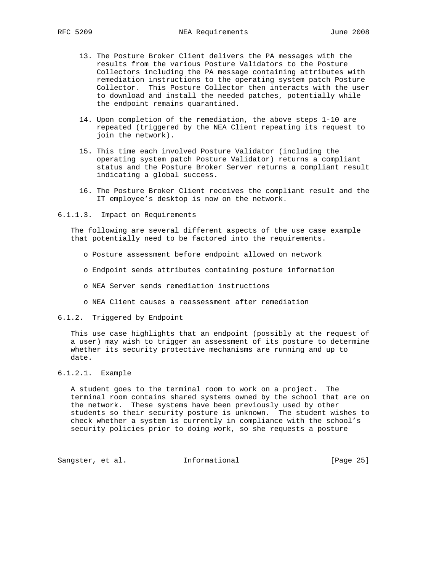- 13. The Posture Broker Client delivers the PA messages with the results from the various Posture Validators to the Posture Collectors including the PA message containing attributes with remediation instructions to the operating system patch Posture Collector. This Posture Collector then interacts with the user to download and install the needed patches, potentially while the endpoint remains quarantined.
- 14. Upon completion of the remediation, the above steps 1-10 are repeated (triggered by the NEA Client repeating its request to join the network).
- 15. This time each involved Posture Validator (including the operating system patch Posture Validator) returns a compliant status and the Posture Broker Server returns a compliant result indicating a global success.
- 16. The Posture Broker Client receives the compliant result and the IT employee's desktop is now on the network.
- 6.1.1.3. Impact on Requirements

 The following are several different aspects of the use case example that potentially need to be factored into the requirements.

- o Posture assessment before endpoint allowed on network
- o Endpoint sends attributes containing posture information
- o NEA Server sends remediation instructions
- o NEA Client causes a reassessment after remediation
- 6.1.2. Triggered by Endpoint

 This use case highlights that an endpoint (possibly at the request of a user) may wish to trigger an assessment of its posture to determine whether its security protective mechanisms are running and up to date.

## 6.1.2.1. Example

 A student goes to the terminal room to work on a project. The terminal room contains shared systems owned by the school that are on the network. These systems have been previously used by other students so their security posture is unknown. The student wishes to check whether a system is currently in compliance with the school's security policies prior to doing work, so she requests a posture

Sangster, et al. 1nformational 1999 [Page 25]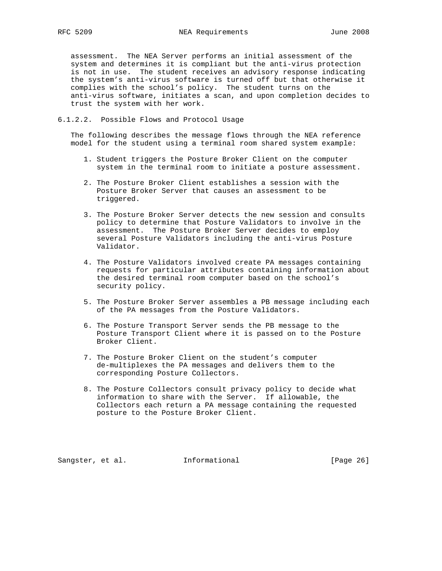assessment. The NEA Server performs an initial assessment of the system and determines it is compliant but the anti-virus protection is not in use. The student receives an advisory response indicating the system's anti-virus software is turned off but that otherwise it complies with the school's policy. The student turns on the anti-virus software, initiates a scan, and upon completion decides to trust the system with her work.

#### 6.1.2.2. Possible Flows and Protocol Usage

 The following describes the message flows through the NEA reference model for the student using a terminal room shared system example:

- 1. Student triggers the Posture Broker Client on the computer system in the terminal room to initiate a posture assessment.
- 2. The Posture Broker Client establishes a session with the Posture Broker Server that causes an assessment to be triggered.
- 3. The Posture Broker Server detects the new session and consults policy to determine that Posture Validators to involve in the assessment. The Posture Broker Server decides to employ several Posture Validators including the anti-virus Posture Validator.
- 4. The Posture Validators involved create PA messages containing requests for particular attributes containing information about the desired terminal room computer based on the school's security policy.
- 5. The Posture Broker Server assembles a PB message including each of the PA messages from the Posture Validators.
- 6. The Posture Transport Server sends the PB message to the Posture Transport Client where it is passed on to the Posture Broker Client.
- 7. The Posture Broker Client on the student's computer de-multiplexes the PA messages and delivers them to the corresponding Posture Collectors.
- 8. The Posture Collectors consult privacy policy to decide what information to share with the Server. If allowable, the Collectors each return a PA message containing the requested posture to the Posture Broker Client.

Sangster, et al. **Informational** [Page 26]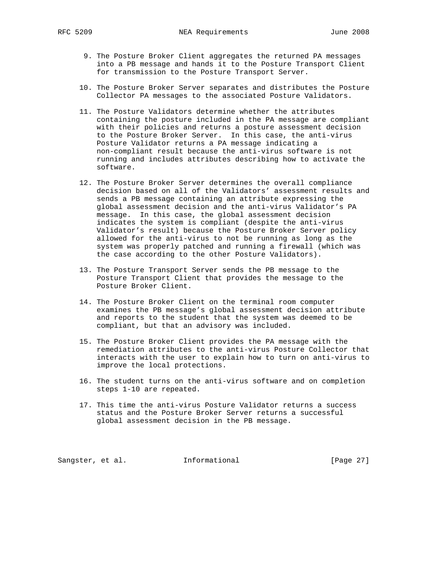- 9. The Posture Broker Client aggregates the returned PA messages into a PB message and hands it to the Posture Transport Client for transmission to the Posture Transport Server.
- 10. The Posture Broker Server separates and distributes the Posture Collector PA messages to the associated Posture Validators.
- 11. The Posture Validators determine whether the attributes containing the posture included in the PA message are compliant with their policies and returns a posture assessment decision to the Posture Broker Server. In this case, the anti-virus Posture Validator returns a PA message indicating a non-compliant result because the anti-virus software is not running and includes attributes describing how to activate the software.
- 12. The Posture Broker Server determines the overall compliance decision based on all of the Validators' assessment results and sends a PB message containing an attribute expressing the global assessment decision and the anti-virus Validator's PA message. In this case, the global assessment decision indicates the system is compliant (despite the anti-virus Validator's result) because the Posture Broker Server policy allowed for the anti-virus to not be running as long as the system was properly patched and running a firewall (which was the case according to the other Posture Validators).
- 13. The Posture Transport Server sends the PB message to the Posture Transport Client that provides the message to the Posture Broker Client.
- 14. The Posture Broker Client on the terminal room computer examines the PB message's global assessment decision attribute and reports to the student that the system was deemed to be compliant, but that an advisory was included.
- 15. The Posture Broker Client provides the PA message with the remediation attributes to the anti-virus Posture Collector that interacts with the user to explain how to turn on anti-virus to improve the local protections.
- 16. The student turns on the anti-virus software and on completion steps 1-10 are repeated.
- 17. This time the anti-virus Posture Validator returns a success status and the Posture Broker Server returns a successful global assessment decision in the PB message.

Sangster, et al. 1nformational [Page 27]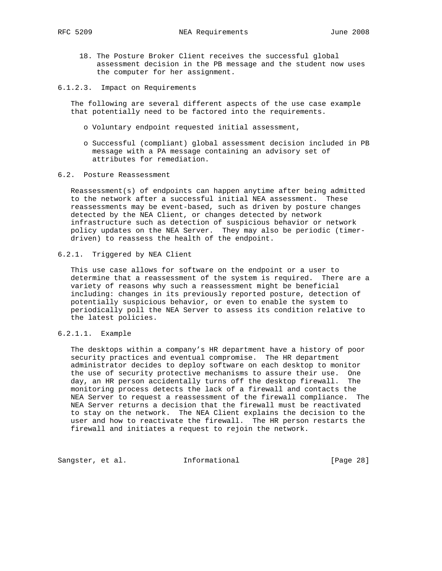- 18. The Posture Broker Client receives the successful global assessment decision in the PB message and the student now uses the computer for her assignment.
- 6.1.2.3. Impact on Requirements

 The following are several different aspects of the use case example that potentially need to be factored into the requirements.

- o Voluntary endpoint requested initial assessment,
- o Successful (compliant) global assessment decision included in PB message with a PA message containing an advisory set of attributes for remediation.
- 6.2. Posture Reassessment

 Reassessment(s) of endpoints can happen anytime after being admitted to the network after a successful initial NEA assessment. These reassessments may be event-based, such as driven by posture changes detected by the NEA Client, or changes detected by network infrastructure such as detection of suspicious behavior or network policy updates on the NEA Server. They may also be periodic (timer driven) to reassess the health of the endpoint.

## 6.2.1. Triggered by NEA Client

 This use case allows for software on the endpoint or a user to determine that a reassessment of the system is required. There are a variety of reasons why such a reassessment might be beneficial including: changes in its previously reported posture, detection of potentially suspicious behavior, or even to enable the system to periodically poll the NEA Server to assess its condition relative to the latest policies.

## 6.2.1.1. Example

 The desktops within a company's HR department have a history of poor security practices and eventual compromise. The HR department administrator decides to deploy software on each desktop to monitor the use of security protective mechanisms to assure their use. One day, an HR person accidentally turns off the desktop firewall. The monitoring process detects the lack of a firewall and contacts the NEA Server to request a reassessment of the firewall compliance. The NEA Server returns a decision that the firewall must be reactivated to stay on the network. The NEA Client explains the decision to the user and how to reactivate the firewall. The HR person restarts the firewall and initiates a request to rejoin the network.

Sangster, et al. 1nformational 1999 [Page 28]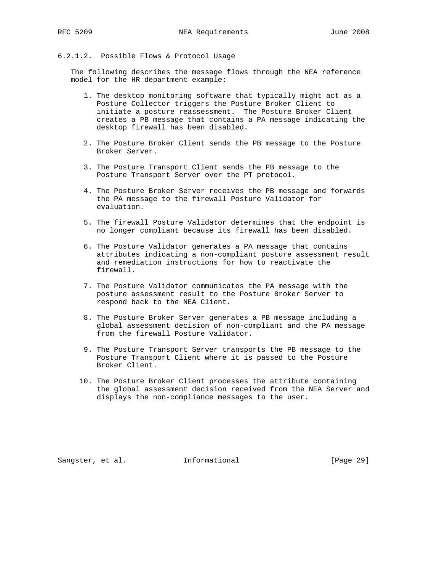## 6.2.1.2. Possible Flows & Protocol Usage

 The following describes the message flows through the NEA reference model for the HR department example:

- 1. The desktop monitoring software that typically might act as a Posture Collector triggers the Posture Broker Client to initiate a posture reassessment. The Posture Broker Client creates a PB message that contains a PA message indicating the desktop firewall has been disabled.
- 2. The Posture Broker Client sends the PB message to the Posture Broker Server.
- 3. The Posture Transport Client sends the PB message to the Posture Transport Server over the PT protocol.
- 4. The Posture Broker Server receives the PB message and forwards the PA message to the firewall Posture Validator for evaluation.
- 5. The firewall Posture Validator determines that the endpoint is no longer compliant because its firewall has been disabled.
- 6. The Posture Validator generates a PA message that contains attributes indicating a non-compliant posture assessment result and remediation instructions for how to reactivate the firewall.
- 7. The Posture Validator communicates the PA message with the posture assessment result to the Posture Broker Server to respond back to the NEA Client.
- 8. The Posture Broker Server generates a PB message including a global assessment decision of non-compliant and the PA message from the firewall Posture Validator.
- 9. The Posture Transport Server transports the PB message to the Posture Transport Client where it is passed to the Posture Broker Client.
- 10. The Posture Broker Client processes the attribute containing the global assessment decision received from the NEA Server and displays the non-compliance messages to the user.

Sangster, et al. **Informational** [Page 29]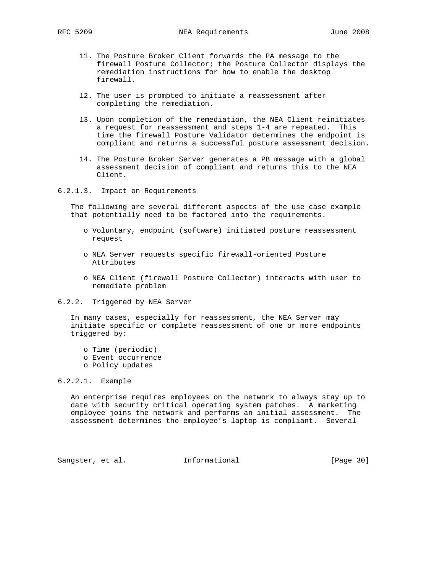- 11. The Posture Broker Client forwards the PA message to the firewall Posture Collector; the Posture Collector displays the remediation instructions for how to enable the desktop firewall.
- 12. The user is prompted to initiate a reassessment after completing the remediation.
- 13. Upon completion of the remediation, the NEA Client reinitiates a request for reassessment and steps 1-4 are repeated. This time the firewall Posture Validator determines the endpoint is compliant and returns a successful posture assessment decision.
- 14. The Posture Broker Server generates a PB message with a global assessment decision of compliant and returns this to the NEA Client.
- 6.2.1.3. Impact on Requirements

 The following are several different aspects of the use case example that potentially need to be factored into the requirements.

- o Voluntary, endpoint (software) initiated posture reassessment request
- o NEA Server requests specific firewall-oriented Posture Attributes
- o NEA Client (firewall Posture Collector) interacts with user to remediate problem
- 6.2.2. Triggered by NEA Server

 In many cases, especially for reassessment, the NEA Server may initiate specific or complete reassessment of one or more endpoints triggered by:

- o Time (periodic)
- o Event occurrence
- o Policy updates

## 6.2.2.1. Example

 An enterprise requires employees on the network to always stay up to date with security critical operating system patches. A marketing employee joins the network and performs an initial assessment. The assessment determines the employee's laptop is compliant. Several

Sangster, et al. 1nformational [Page 30]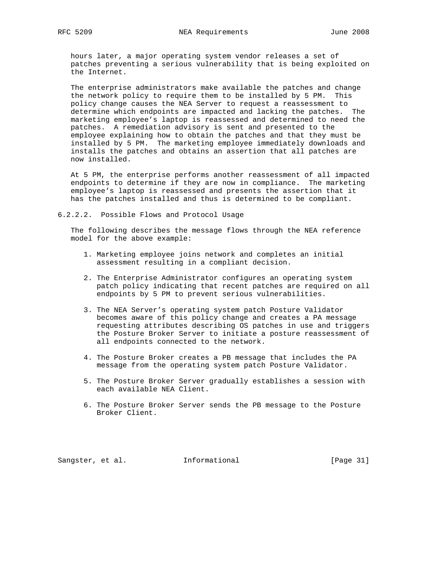hours later, a major operating system vendor releases a set of patches preventing a serious vulnerability that is being exploited on the Internet.

 The enterprise administrators make available the patches and change the network policy to require them to be installed by 5 PM. This policy change causes the NEA Server to request a reassessment to determine which endpoints are impacted and lacking the patches. The marketing employee's laptop is reassessed and determined to need the patches. A remediation advisory is sent and presented to the employee explaining how to obtain the patches and that they must be installed by 5 PM. The marketing employee immediately downloads and installs the patches and obtains an assertion that all patches are now installed.

 At 5 PM, the enterprise performs another reassessment of all impacted endpoints to determine if they are now in compliance. The marketing employee's laptop is reassessed and presents the assertion that it has the patches installed and thus is determined to be compliant.

#### 6.2.2.2. Possible Flows and Protocol Usage

 The following describes the message flows through the NEA reference model for the above example:

- 1. Marketing employee joins network and completes an initial assessment resulting in a compliant decision.
- 2. The Enterprise Administrator configures an operating system patch policy indicating that recent patches are required on all endpoints by 5 PM to prevent serious vulnerabilities.
- 3. The NEA Server's operating system patch Posture Validator becomes aware of this policy change and creates a PA message requesting attributes describing OS patches in use and triggers the Posture Broker Server to initiate a posture reassessment of all endpoints connected to the network.
- 4. The Posture Broker creates a PB message that includes the PA message from the operating system patch Posture Validator.
- 5. The Posture Broker Server gradually establishes a session with each available NEA Client.
- 6. The Posture Broker Server sends the PB message to the Posture Broker Client.

Sangster, et al. **Informational** [Page 31]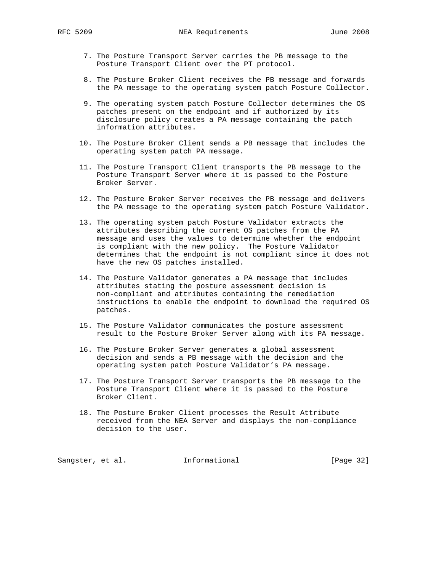- 7. The Posture Transport Server carries the PB message to the Posture Transport Client over the PT protocol.
- 8. The Posture Broker Client receives the PB message and forwards the PA message to the operating system patch Posture Collector.
- 9. The operating system patch Posture Collector determines the OS patches present on the endpoint and if authorized by its disclosure policy creates a PA message containing the patch information attributes.
- 10. The Posture Broker Client sends a PB message that includes the operating system patch PA message.
- 11. The Posture Transport Client transports the PB message to the Posture Transport Server where it is passed to the Posture Broker Server.
- 12. The Posture Broker Server receives the PB message and delivers the PA message to the operating system patch Posture Validator.
- 13. The operating system patch Posture Validator extracts the attributes describing the current OS patches from the PA message and uses the values to determine whether the endpoint is compliant with the new policy. The Posture Validator determines that the endpoint is not compliant since it does not have the new OS patches installed.
- 14. The Posture Validator generates a PA message that includes attributes stating the posture assessment decision is non-compliant and attributes containing the remediation instructions to enable the endpoint to download the required OS patches.
- 15. The Posture Validator communicates the posture assessment result to the Posture Broker Server along with its PA message.
- 16. The Posture Broker Server generates a global assessment decision and sends a PB message with the decision and the operating system patch Posture Validator's PA message.
- 17. The Posture Transport Server transports the PB message to the Posture Transport Client where it is passed to the Posture Broker Client.
- 18. The Posture Broker Client processes the Result Attribute received from the NEA Server and displays the non-compliance decision to the user.

Sangster, et al. 1nformational [Page 32]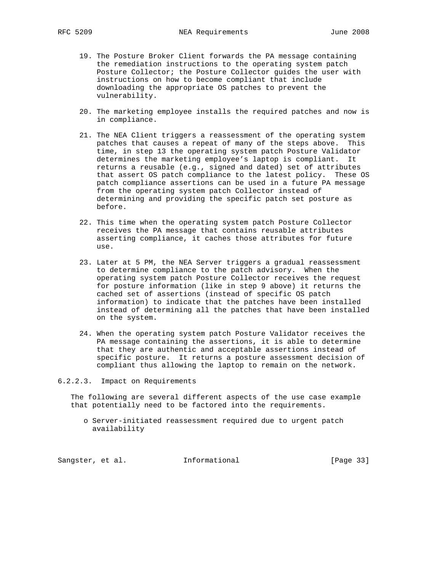- 19. The Posture Broker Client forwards the PA message containing the remediation instructions to the operating system patch Posture Collector; the Posture Collector guides the user with instructions on how to become compliant that include downloading the appropriate OS patches to prevent the vulnerability.
- 20. The marketing employee installs the required patches and now is in compliance.
- 21. The NEA Client triggers a reassessment of the operating system patches that causes a repeat of many of the steps above. This time, in step 13 the operating system patch Posture Validator determines the marketing employee's laptop is compliant. It returns a reusable (e.g., signed and dated) set of attributes that assert OS patch compliance to the latest policy. These OS patch compliance assertions can be used in a future PA message from the operating system patch Collector instead of determining and providing the specific patch set posture as before.
- 22. This time when the operating system patch Posture Collector receives the PA message that contains reusable attributes asserting compliance, it caches those attributes for future use.
- 23. Later at 5 PM, the NEA Server triggers a gradual reassessment to determine compliance to the patch advisory. When the operating system patch Posture Collector receives the request for posture information (like in step 9 above) it returns the cached set of assertions (instead of specific OS patch information) to indicate that the patches have been installed instead of determining all the patches that have been installed on the system.
- 24. When the operating system patch Posture Validator receives the PA message containing the assertions, it is able to determine that they are authentic and acceptable assertions instead of specific posture. It returns a posture assessment decision of compliant thus allowing the laptop to remain on the network.

6.2.2.3. Impact on Requirements

 The following are several different aspects of the use case example that potentially need to be factored into the requirements.

 o Server-initiated reassessment required due to urgent patch availability

Sangster, et al. 1nformational [Page 33]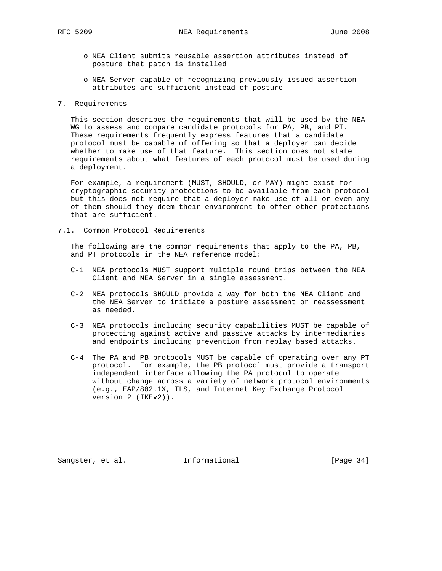- o NEA Client submits reusable assertion attributes instead of posture that patch is installed
- o NEA Server capable of recognizing previously issued assertion attributes are sufficient instead of posture

#### 7. Requirements

 This section describes the requirements that will be used by the NEA WG to assess and compare candidate protocols for PA, PB, and PT. These requirements frequently express features that a candidate protocol must be capable of offering so that a deployer can decide whether to make use of that feature. This section does not state requirements about what features of each protocol must be used during a deployment.

 For example, a requirement (MUST, SHOULD, or MAY) might exist for cryptographic security protections to be available from each protocol but this does not require that a deployer make use of all or even any of them should they deem their environment to offer other protections that are sufficient.

7.1. Common Protocol Requirements

 The following are the common requirements that apply to the PA, PB, and PT protocols in the NEA reference model:

- C-1 NEA protocols MUST support multiple round trips between the NEA Client and NEA Server in a single assessment.
- C-2 NEA protocols SHOULD provide a way for both the NEA Client and the NEA Server to initiate a posture assessment or reassessment as needed.
- C-3 NEA protocols including security capabilities MUST be capable of protecting against active and passive attacks by intermediaries and endpoints including prevention from replay based attacks.
- C-4 The PA and PB protocols MUST be capable of operating over any PT protocol. For example, the PB protocol must provide a transport independent interface allowing the PA protocol to operate without change across a variety of network protocol environments (e.g., EAP/802.1X, TLS, and Internet Key Exchange Protocol version 2 (IKEv2)).

Sangster, et al. **Informational** [Page 34]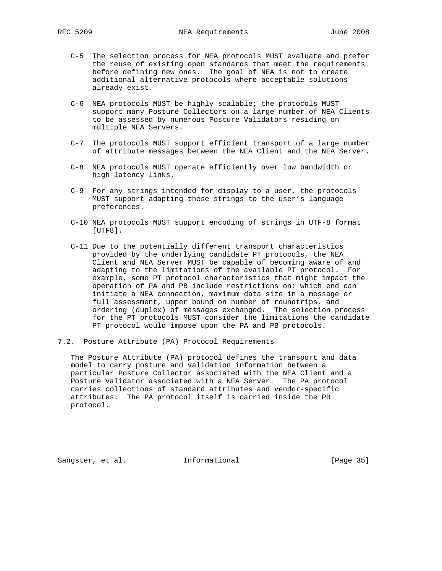- C-5 The selection process for NEA protocols MUST evaluate and prefer the reuse of existing open standards that meet the requirements before defining new ones. The goal of NEA is not to create additional alternative protocols where acceptable solutions already exist.
- C-6 NEA protocols MUST be highly scalable; the protocols MUST support many Posture Collectors on a large number of NEA Clients to be assessed by numerous Posture Validators residing on multiple NEA Servers.
- C-7 The protocols MUST support efficient transport of a large number of attribute messages between the NEA Client and the NEA Server.
- C-8 NEA protocols MUST operate efficiently over low bandwidth or high latency links.
- C-9 For any strings intended for display to a user, the protocols MUST support adapting these strings to the user's language preferences.
- C-10 NEA protocols MUST support encoding of strings in UTF-8 format [UTF8].
- C-11 Due to the potentially different transport characteristics provided by the underlying candidate PT protocols, the NEA Client and NEA Server MUST be capable of becoming aware of and adapting to the limitations of the available PT protocol. For example, some PT protocol characteristics that might impact the operation of PA and PB include restrictions on: which end can initiate a NEA connection, maximum data size in a message or full assessment, upper bound on number of roundtrips, and ordering (duplex) of messages exchanged. The selection process for the PT protocols MUST consider the limitations the candidate PT protocol would impose upon the PA and PB protocols.
- 7.2. Posture Attribute (PA) Protocol Requirements

 The Posture Attribute (PA) protocol defines the transport and data model to carry posture and validation information between a particular Posture Collector associated with the NEA Client and a Posture Validator associated with a NEA Server. The PA protocol carries collections of standard attributes and vendor-specific attributes. The PA protocol itself is carried inside the PB protocol.

Sangster, et al. **Informational** [Page 35]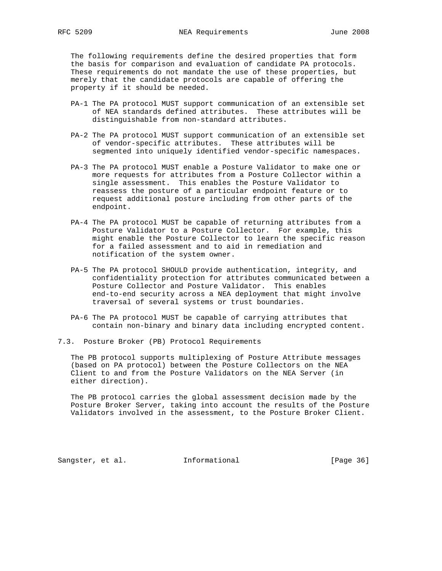The following requirements define the desired properties that form the basis for comparison and evaluation of candidate PA protocols. These requirements do not mandate the use of these properties, but merely that the candidate protocols are capable of offering the property if it should be needed.

- PA-1 The PA protocol MUST support communication of an extensible set of NEA standards defined attributes. These attributes will be distinguishable from non-standard attributes.
- PA-2 The PA protocol MUST support communication of an extensible set of vendor-specific attributes. These attributes will be segmented into uniquely identified vendor-specific namespaces.
- PA-3 The PA protocol MUST enable a Posture Validator to make one or more requests for attributes from a Posture Collector within a single assessment. This enables the Posture Validator to reassess the posture of a particular endpoint feature or to request additional posture including from other parts of the endpoint.
- PA-4 The PA protocol MUST be capable of returning attributes from a Posture Validator to a Posture Collector. For example, this might enable the Posture Collector to learn the specific reason for a failed assessment and to aid in remediation and notification of the system owner.
- PA-5 The PA protocol SHOULD provide authentication, integrity, and confidentiality protection for attributes communicated between a Posture Collector and Posture Validator. This enables end-to-end security across a NEA deployment that might involve traversal of several systems or trust boundaries.
- PA-6 The PA protocol MUST be capable of carrying attributes that contain non-binary and binary data including encrypted content.
- 7.3. Posture Broker (PB) Protocol Requirements

 The PB protocol supports multiplexing of Posture Attribute messages (based on PA protocol) between the Posture Collectors on the NEA Client to and from the Posture Validators on the NEA Server (in either direction).

 The PB protocol carries the global assessment decision made by the Posture Broker Server, taking into account the results of the Posture Validators involved in the assessment, to the Posture Broker Client.

Sangster, et al. **Informational** [Page 36]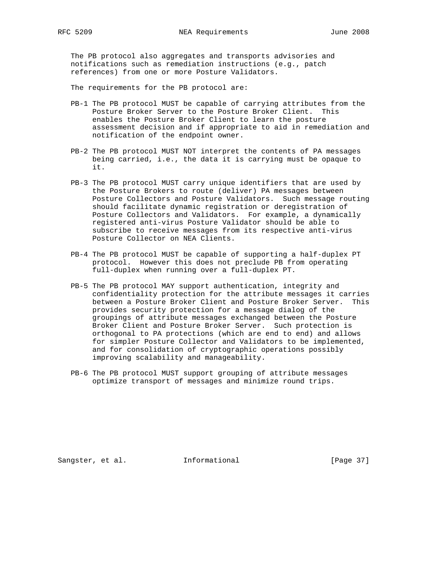The PB protocol also aggregates and transports advisories and notifications such as remediation instructions (e.g., patch references) from one or more Posture Validators.

The requirements for the PB protocol are:

- PB-1 The PB protocol MUST be capable of carrying attributes from the Posture Broker Server to the Posture Broker Client. This enables the Posture Broker Client to learn the posture assessment decision and if appropriate to aid in remediation and notification of the endpoint owner.
- PB-2 The PB protocol MUST NOT interpret the contents of PA messages being carried, i.e., the data it is carrying must be opaque to it.
- PB-3 The PB protocol MUST carry unique identifiers that are used by the Posture Brokers to route (deliver) PA messages between Posture Collectors and Posture Validators. Such message routing should facilitate dynamic registration or deregistration of Posture Collectors and Validators. For example, a dynamically registered anti-virus Posture Validator should be able to subscribe to receive messages from its respective anti-virus Posture Collector on NEA Clients.
- PB-4 The PB protocol MUST be capable of supporting a half-duplex PT protocol. However this does not preclude PB from operating full-duplex when running over a full-duplex PT.
- PB-5 The PB protocol MAY support authentication, integrity and confidentiality protection for the attribute messages it carries between a Posture Broker Client and Posture Broker Server. This provides security protection for a message dialog of the groupings of attribute messages exchanged between the Posture Broker Client and Posture Broker Server. Such protection is orthogonal to PA protections (which are end to end) and allows for simpler Posture Collector and Validators to be implemented, and for consolidation of cryptographic operations possibly improving scalability and manageability.
- PB-6 The PB protocol MUST support grouping of attribute messages optimize transport of messages and minimize round trips.

Sangster, et al. 1nformational 1999 [Page 37]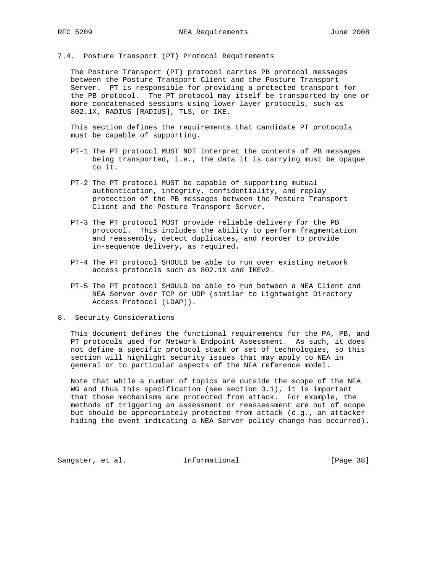7.4. Posture Transport (PT) Protocol Requirements

 The Posture Transport (PT) protocol carries PB protocol messages between the Posture Transport Client and the Posture Transport Server. PT is responsible for providing a protected transport for the PB protocol. The PT protocol may itself be transported by one or more concatenated sessions using lower layer protocols, such as 802.1X, RADIUS [RADIUS], TLS, or IKE.

 This section defines the requirements that candidate PT protocols must be capable of supporting.

- PT-1 The PT protocol MUST NOT interpret the contents of PB messages being transported, i.e., the data it is carrying must be opaque to it.
- PT-2 The PT protocol MUST be capable of supporting mutual authentication, integrity, confidentiality, and replay protection of the PB messages between the Posture Transport Client and the Posture Transport Server.
- PT-3 The PT protocol MUST provide reliable delivery for the PB protocol. This includes the ability to perform fragmentation and reassembly, detect duplicates, and reorder to provide in-sequence delivery, as required.
- PT-4 The PT protocol SHOULD be able to run over existing network access protocols such as 802.1X and IKEv2.
- PT-5 The PT protocol SHOULD be able to run between a NEA Client and NEA Server over TCP or UDP (similar to Lightweight Directory Access Protocol (LDAP)).
- 8. Security Considerations

 This document defines the functional requirements for the PA, PB, and PT protocols used for Network Endpoint Assessment. As such, it does not define a specific protocol stack or set of technologies, so this section will highlight security issues that may apply to NEA in general or to particular aspects of the NEA reference model.

 Note that while a number of topics are outside the scope of the NEA WG and thus this specification (see section 3.1), it is important that those mechanisms are protected from attack. For example, the methods of triggering an assessment or reassessment are out of scope but should be appropriately protected from attack (e.g., an attacker hiding the event indicating a NEA Server policy change has occurred).

Sangster, et al. 1nformational 1999 [Page 38]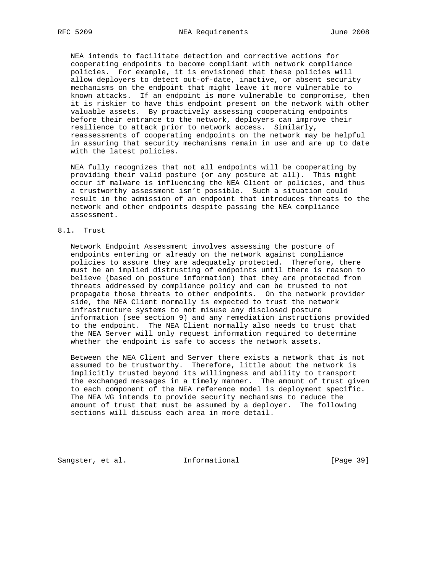NEA intends to facilitate detection and corrective actions for cooperating endpoints to become compliant with network compliance policies. For example, it is envisioned that these policies will allow deployers to detect out-of-date, inactive, or absent security mechanisms on the endpoint that might leave it more vulnerable to known attacks. If an endpoint is more vulnerable to compromise, then it is riskier to have this endpoint present on the network with other valuable assets. By proactively assessing cooperating endpoints before their entrance to the network, deployers can improve their resilience to attack prior to network access. Similarly, reassessments of cooperating endpoints on the network may be helpful in assuring that security mechanisms remain in use and are up to date with the latest policies.

 NEA fully recognizes that not all endpoints will be cooperating by providing their valid posture (or any posture at all). This might occur if malware is influencing the NEA Client or policies, and thus a trustworthy assessment isn't possible. Such a situation could result in the admission of an endpoint that introduces threats to the network and other endpoints despite passing the NEA compliance assessment.

## 8.1. Trust

 Network Endpoint Assessment involves assessing the posture of endpoints entering or already on the network against compliance policies to assure they are adequately protected. Therefore, there must be an implied distrusting of endpoints until there is reason to believe (based on posture information) that they are protected from threats addressed by compliance policy and can be trusted to not propagate those threats to other endpoints. On the network provider side, the NEA Client normally is expected to trust the network infrastructure systems to not misuse any disclosed posture information (see section 9) and any remediation instructions provided to the endpoint. The NEA Client normally also needs to trust that the NEA Server will only request information required to determine whether the endpoint is safe to access the network assets.

 Between the NEA Client and Server there exists a network that is not assumed to be trustworthy. Therefore, little about the network is implicitly trusted beyond its willingness and ability to transport the exchanged messages in a timely manner. The amount of trust given to each component of the NEA reference model is deployment specific. The NEA WG intends to provide security mechanisms to reduce the amount of trust that must be assumed by a deployer. The following sections will discuss each area in more detail.

Sangster, et al. 1nformational [Page 39]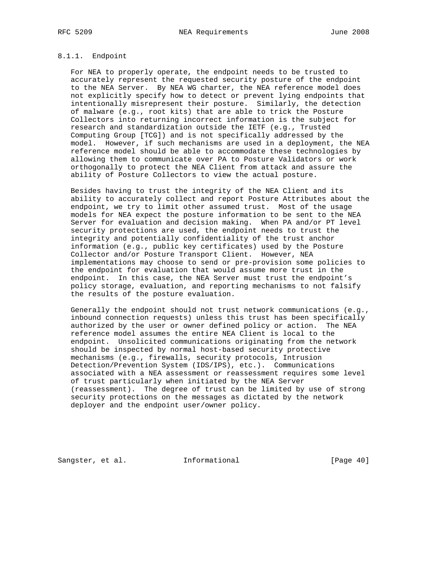## 8.1.1. Endpoint

 For NEA to properly operate, the endpoint needs to be trusted to accurately represent the requested security posture of the endpoint to the NEA Server. By NEA WG charter, the NEA reference model does not explicitly specify how to detect or prevent lying endpoints that intentionally misrepresent their posture. Similarly, the detection of malware (e.g., root kits) that are able to trick the Posture Collectors into returning incorrect information is the subject for research and standardization outside the IETF (e.g., Trusted Computing Group [TCG]) and is not specifically addressed by the model. However, if such mechanisms are used in a deployment, the NEA reference model should be able to accommodate these technologies by allowing them to communicate over PA to Posture Validators or work orthogonally to protect the NEA Client from attack and assure the ability of Posture Collectors to view the actual posture.

 Besides having to trust the integrity of the NEA Client and its ability to accurately collect and report Posture Attributes about the endpoint, we try to limit other assumed trust. Most of the usage models for NEA expect the posture information to be sent to the NEA Server for evaluation and decision making. When PA and/or PT level security protections are used, the endpoint needs to trust the integrity and potentially confidentiality of the trust anchor information (e.g., public key certificates) used by the Posture Collector and/or Posture Transport Client. However, NEA implementations may choose to send or pre-provision some policies to the endpoint for evaluation that would assume more trust in the endpoint. In this case, the NEA Server must trust the endpoint's policy storage, evaluation, and reporting mechanisms to not falsify the results of the posture evaluation.

 Generally the endpoint should not trust network communications (e.g., inbound connection requests) unless this trust has been specifically authorized by the user or owner defined policy or action. The NEA reference model assumes the entire NEA Client is local to the endpoint. Unsolicited communications originating from the network should be inspected by normal host-based security protective mechanisms (e.g., firewalls, security protocols, Intrusion Detection/Prevention System (IDS/IPS), etc.). Communications associated with a NEA assessment or reassessment requires some level of trust particularly when initiated by the NEA Server (reassessment). The degree of trust can be limited by use of strong security protections on the messages as dictated by the network deployer and the endpoint user/owner policy.

Sangster, et al. 1nformational [Page 40]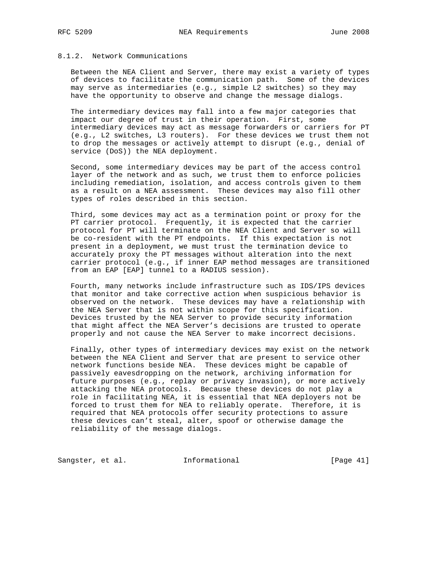# 8.1.2. Network Communications

 Between the NEA Client and Server, there may exist a variety of types of devices to facilitate the communication path. Some of the devices may serve as intermediaries (e.g., simple L2 switches) so they may have the opportunity to observe and change the message dialogs.

 The intermediary devices may fall into a few major categories that impact our degree of trust in their operation. First, some intermediary devices may act as message forwarders or carriers for PT (e.g., L2 switches, L3 routers). For these devices we trust them not to drop the messages or actively attempt to disrupt (e.g., denial of service (DoS)) the NEA deployment.

 Second, some intermediary devices may be part of the access control layer of the network and as such, we trust them to enforce policies including remediation, isolation, and access controls given to them as a result on a NEA assessment. These devices may also fill other types of roles described in this section.

 Third, some devices may act as a termination point or proxy for the PT carrier protocol. Frequently, it is expected that the carrier protocol for PT will terminate on the NEA Client and Server so will be co-resident with the PT endpoints. If this expectation is not present in a deployment, we must trust the termination device to accurately proxy the PT messages without alteration into the next carrier protocol (e.g., if inner EAP method messages are transitioned from an EAP [EAP] tunnel to a RADIUS session).

 Fourth, many networks include infrastructure such as IDS/IPS devices that monitor and take corrective action when suspicious behavior is observed on the network. These devices may have a relationship with the NEA Server that is not within scope for this specification. Devices trusted by the NEA Server to provide security information that might affect the NEA Server's decisions are trusted to operate properly and not cause the NEA Server to make incorrect decisions.

 Finally, other types of intermediary devices may exist on the network between the NEA Client and Server that are present to service other network functions beside NEA. These devices might be capable of passively eavesdropping on the network, archiving information for future purposes (e.g., replay or privacy invasion), or more actively attacking the NEA protocols. Because these devices do not play a role in facilitating NEA, it is essential that NEA deployers not be forced to trust them for NEA to reliably operate. Therefore, it is required that NEA protocols offer security protections to assure these devices can't steal, alter, spoof or otherwise damage the reliability of the message dialogs.

Sangster, et al. 1nformational [Page 41]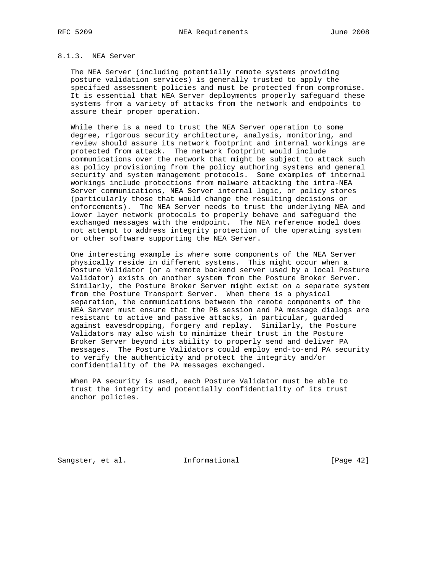#### 8.1.3. NEA Server

 The NEA Server (including potentially remote systems providing posture validation services) is generally trusted to apply the specified assessment policies and must be protected from compromise. It is essential that NEA Server deployments properly safeguard these systems from a variety of attacks from the network and endpoints to assure their proper operation.

 While there is a need to trust the NEA Server operation to some degree, rigorous security architecture, analysis, monitoring, and review should assure its network footprint and internal workings are protected from attack. The network footprint would include communications over the network that might be subject to attack such as policy provisioning from the policy authoring systems and general security and system management protocols. Some examples of internal workings include protections from malware attacking the intra-NEA Server communications, NEA Server internal logic, or policy stores (particularly those that would change the resulting decisions or enforcements). The NEA Server needs to trust the underlying NEA and lower layer network protocols to properly behave and safeguard the exchanged messages with the endpoint. The NEA reference model does not attempt to address integrity protection of the operating system or other software supporting the NEA Server.

 One interesting example is where some components of the NEA Server physically reside in different systems. This might occur when a Posture Validator (or a remote backend server used by a local Posture Validator) exists on another system from the Posture Broker Server. Similarly, the Posture Broker Server might exist on a separate system from the Posture Transport Server. When there is a physical separation, the communications between the remote components of the NEA Server must ensure that the PB session and PA message dialogs are resistant to active and passive attacks, in particular, guarded against eavesdropping, forgery and replay. Similarly, the Posture Validators may also wish to minimize their trust in the Posture Broker Server beyond its ability to properly send and deliver PA messages. The Posture Validators could employ end-to-end PA security to verify the authenticity and protect the integrity and/or confidentiality of the PA messages exchanged.

 When PA security is used, each Posture Validator must be able to trust the integrity and potentially confidentiality of its trust anchor policies.

Sangster, et al. **Informational** [Page 42]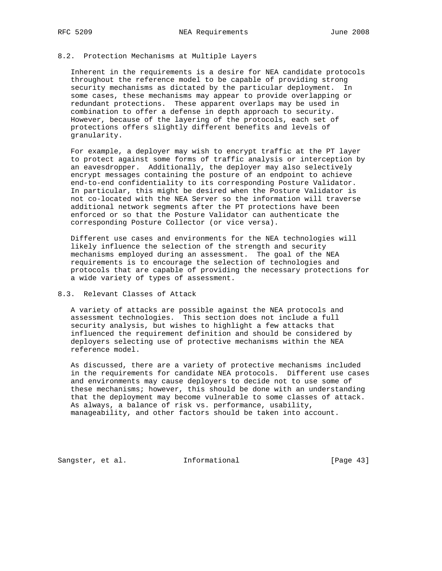## 8.2. Protection Mechanisms at Multiple Layers

 Inherent in the requirements is a desire for NEA candidate protocols throughout the reference model to be capable of providing strong security mechanisms as dictated by the particular deployment. In some cases, these mechanisms may appear to provide overlapping or redundant protections. These apparent overlaps may be used in combination to offer a defense in depth approach to security. However, because of the layering of the protocols, each set of protections offers slightly different benefits and levels of granularity.

 For example, a deployer may wish to encrypt traffic at the PT layer to protect against some forms of traffic analysis or interception by an eavesdropper. Additionally, the deployer may also selectively encrypt messages containing the posture of an endpoint to achieve end-to-end confidentiality to its corresponding Posture Validator. In particular, this might be desired when the Posture Validator is not co-located with the NEA Server so the information will traverse additional network segments after the PT protections have been enforced or so that the Posture Validator can authenticate the corresponding Posture Collector (or vice versa).

 Different use cases and environments for the NEA technologies will likely influence the selection of the strength and security mechanisms employed during an assessment. The goal of the NEA requirements is to encourage the selection of technologies and protocols that are capable of providing the necessary protections for a wide variety of types of assessment.

# 8.3. Relevant Classes of Attack

 A variety of attacks are possible against the NEA protocols and assessment technologies. This section does not include a full security analysis, but wishes to highlight a few attacks that influenced the requirement definition and should be considered by deployers selecting use of protective mechanisms within the NEA reference model.

 As discussed, there are a variety of protective mechanisms included in the requirements for candidate NEA protocols. Different use cases and environments may cause deployers to decide not to use some of these mechanisms; however, this should be done with an understanding that the deployment may become vulnerable to some classes of attack. As always, a balance of risk vs. performance, usability, manageability, and other factors should be taken into account.

Sangster, et al. 1nformational [Page 43]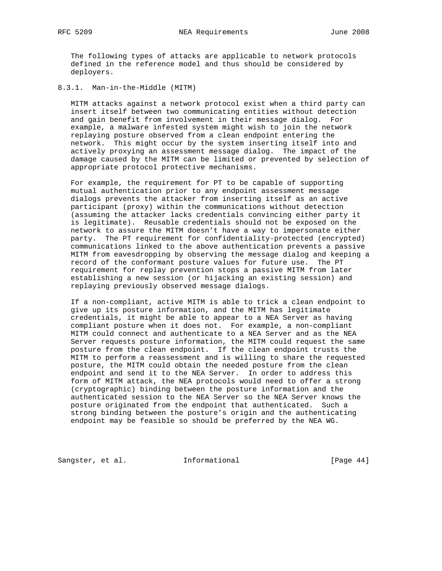The following types of attacks are applicable to network protocols defined in the reference model and thus should be considered by deployers.

## 8.3.1. Man-in-the-Middle (MITM)

 MITM attacks against a network protocol exist when a third party can insert itself between two communicating entities without detection and gain benefit from involvement in their message dialog. For example, a malware infested system might wish to join the network replaying posture observed from a clean endpoint entering the network. This might occur by the system inserting itself into and actively proxying an assessment message dialog. The impact of the damage caused by the MITM can be limited or prevented by selection of appropriate protocol protective mechanisms.

 For example, the requirement for PT to be capable of supporting mutual authentication prior to any endpoint assessment message dialogs prevents the attacker from inserting itself as an active participant (proxy) within the communications without detection (assuming the attacker lacks credentials convincing either party it is legitimate). Reusable credentials should not be exposed on the network to assure the MITM doesn't have a way to impersonate either party. The PT requirement for confidentiality-protected (encrypted) communications linked to the above authentication prevents a passive MITM from eavesdropping by observing the message dialog and keeping a record of the conformant posture values for future use. The PT requirement for replay prevention stops a passive MITM from later establishing a new session (or hijacking an existing session) and replaying previously observed message dialogs.

 If a non-compliant, active MITM is able to trick a clean endpoint to give up its posture information, and the MITM has legitimate credentials, it might be able to appear to a NEA Server as having compliant posture when it does not. For example, a non-compliant MITM could connect and authenticate to a NEA Server and as the NEA Server requests posture information, the MITM could request the same posture from the clean endpoint. If the clean endpoint trusts the MITM to perform a reassessment and is willing to share the requested posture, the MITM could obtain the needed posture from the clean endpoint and send it to the NEA Server. In order to address this form of MITM attack, the NEA protocols would need to offer a strong (cryptographic) binding between the posture information and the authenticated session to the NEA Server so the NEA Server knows the posture originated from the endpoint that authenticated. Such a strong binding between the posture's origin and the authenticating endpoint may be feasible so should be preferred by the NEA WG.

Sangster, et al. 1nformational [Page 44]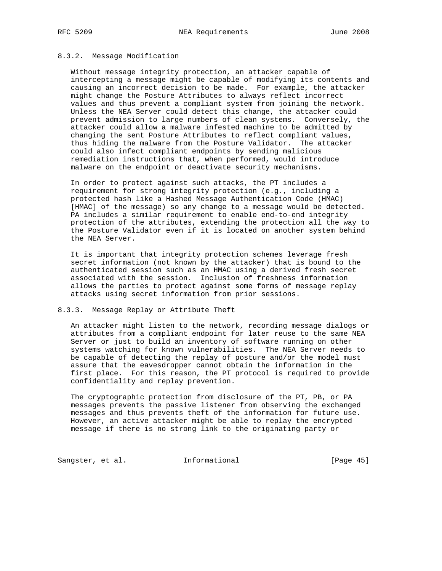#### 8.3.2. Message Modification

 Without message integrity protection, an attacker capable of intercepting a message might be capable of modifying its contents and causing an incorrect decision to be made. For example, the attacker might change the Posture Attributes to always reflect incorrect values and thus prevent a compliant system from joining the network. Unless the NEA Server could detect this change, the attacker could prevent admission to large numbers of clean systems. Conversely, the attacker could allow a malware infested machine to be admitted by changing the sent Posture Attributes to reflect compliant values, thus hiding the malware from the Posture Validator. The attacker could also infect compliant endpoints by sending malicious remediation instructions that, when performed, would introduce malware on the endpoint or deactivate security mechanisms.

 In order to protect against such attacks, the PT includes a requirement for strong integrity protection (e.g., including a protected hash like a Hashed Message Authentication Code (HMAC) [HMAC] of the message) so any change to a message would be detected. PA includes a similar requirement to enable end-to-end integrity protection of the attributes, extending the protection all the way to the Posture Validator even if it is located on another system behind the NEA Server.

 It is important that integrity protection schemes leverage fresh secret information (not known by the attacker) that is bound to the authenticated session such as an HMAC using a derived fresh secret associated with the session. Inclusion of freshness information allows the parties to protect against some forms of message replay attacks using secret information from prior sessions.

#### 8.3.3. Message Replay or Attribute Theft

 An attacker might listen to the network, recording message dialogs or attributes from a compliant endpoint for later reuse to the same NEA Server or just to build an inventory of software running on other systems watching for known vulnerabilities. The NEA Server needs to be capable of detecting the replay of posture and/or the model must assure that the eavesdropper cannot obtain the information in the first place. For this reason, the PT protocol is required to provide confidentiality and replay prevention.

 The cryptographic protection from disclosure of the PT, PB, or PA messages prevents the passive listener from observing the exchanged messages and thus prevents theft of the information for future use. However, an active attacker might be able to replay the encrypted message if there is no strong link to the originating party or

Sangster, et al. 1nformational 1999 [Page 45]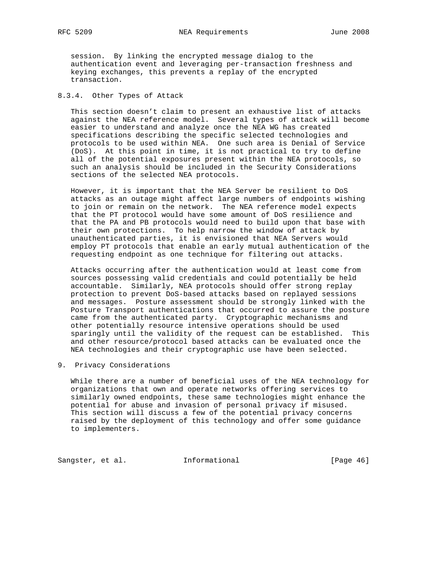session. By linking the encrypted message dialog to the authentication event and leveraging per-transaction freshness and keying exchanges, this prevents a replay of the encrypted transaction.

## 8.3.4. Other Types of Attack

 This section doesn't claim to present an exhaustive list of attacks against the NEA reference model. Several types of attack will become easier to understand and analyze once the NEA WG has created specifications describing the specific selected technologies and protocols to be used within NEA. One such area is Denial of Service (DoS). At this point in time, it is not practical to try to define all of the potential exposures present within the NEA protocols, so such an analysis should be included in the Security Considerations sections of the selected NEA protocols.

 However, it is important that the NEA Server be resilient to DoS attacks as an outage might affect large numbers of endpoints wishing to join or remain on the network. The NEA reference model expects that the PT protocol would have some amount of DoS resilience and that the PA and PB protocols would need to build upon that base with their own protections. To help narrow the window of attack by unauthenticated parties, it is envisioned that NEA Servers would employ PT protocols that enable an early mutual authentication of the requesting endpoint as one technique for filtering out attacks.

 Attacks occurring after the authentication would at least come from sources possessing valid credentials and could potentially be held accountable. Similarly, NEA protocols should offer strong replay protection to prevent DoS-based attacks based on replayed sessions and messages. Posture assessment should be strongly linked with the Posture Transport authentications that occurred to assure the posture came from the authenticated party. Cryptographic mechanisms and other potentially resource intensive operations should be used sparingly until the validity of the request can be established. This and other resource/protocol based attacks can be evaluated once the NEA technologies and their cryptographic use have been selected.

#### 9. Privacy Considerations

 While there are a number of beneficial uses of the NEA technology for organizations that own and operate networks offering services to similarly owned endpoints, these same technologies might enhance the potential for abuse and invasion of personal privacy if misused. This section will discuss a few of the potential privacy concerns raised by the deployment of this technology and offer some guidance to implementers.

Sangster, et al. 1nformational [Page 46]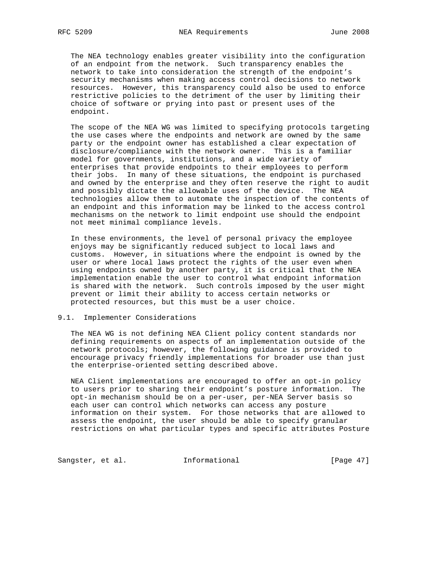The NEA technology enables greater visibility into the configuration of an endpoint from the network. Such transparency enables the network to take into consideration the strength of the endpoint's security mechanisms when making access control decisions to network resources. However, this transparency could also be used to enforce restrictive policies to the detriment of the user by limiting their choice of software or prying into past or present uses of the endpoint.

 The scope of the NEA WG was limited to specifying protocols targeting the use cases where the endpoints and network are owned by the same party or the endpoint owner has established a clear expectation of disclosure/compliance with the network owner. This is a familiar model for governments, institutions, and a wide variety of enterprises that provide endpoints to their employees to perform their jobs. In many of these situations, the endpoint is purchased and owned by the enterprise and they often reserve the right to audit and possibly dictate the allowable uses of the device. The NEA technologies allow them to automate the inspection of the contents of an endpoint and this information may be linked to the access control mechanisms on the network to limit endpoint use should the endpoint not meet minimal compliance levels.

 In these environments, the level of personal privacy the employee enjoys may be significantly reduced subject to local laws and customs. However, in situations where the endpoint is owned by the user or where local laws protect the rights of the user even when using endpoints owned by another party, it is critical that the NEA implementation enable the user to control what endpoint information is shared with the network. Such controls imposed by the user might prevent or limit their ability to access certain networks or protected resources, but this must be a user choice.

#### 9.1. Implementer Considerations

 The NEA WG is not defining NEA Client policy content standards nor defining requirements on aspects of an implementation outside of the network protocols; however, the following guidance is provided to encourage privacy friendly implementations for broader use than just the enterprise-oriented setting described above.

 NEA Client implementations are encouraged to offer an opt-in policy to users prior to sharing their endpoint's posture information. The opt-in mechanism should be on a per-user, per-NEA Server basis so each user can control which networks can access any posture information on their system. For those networks that are allowed to assess the endpoint, the user should be able to specify granular restrictions on what particular types and specific attributes Posture

Sangster, et al. 1nformational [Page 47]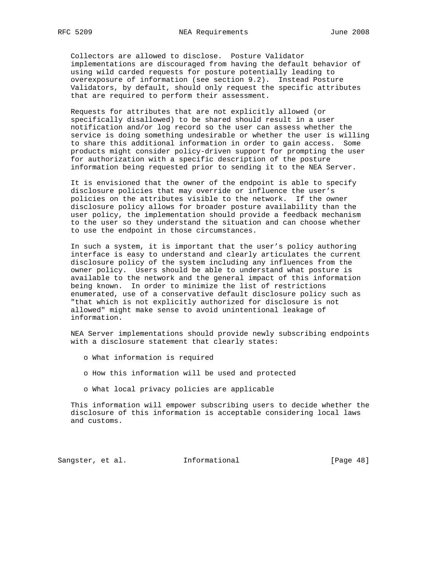Collectors are allowed to disclose. Posture Validator implementations are discouraged from having the default behavior of using wild carded requests for posture potentially leading to overexposure of information (see section 9.2). Instead Posture Validators, by default, should only request the specific attributes that are required to perform their assessment.

 Requests for attributes that are not explicitly allowed (or specifically disallowed) to be shared should result in a user notification and/or log record so the user can assess whether the service is doing something undesirable or whether the user is willing to share this additional information in order to gain access. Some products might consider policy-driven support for prompting the user for authorization with a specific description of the posture information being requested prior to sending it to the NEA Server.

 It is envisioned that the owner of the endpoint is able to specify disclosure policies that may override or influence the user's policies on the attributes visible to the network. If the owner disclosure policy allows for broader posture availability than the user policy, the implementation should provide a feedback mechanism to the user so they understand the situation and can choose whether to use the endpoint in those circumstances.

 In such a system, it is important that the user's policy authoring interface is easy to understand and clearly articulates the current disclosure policy of the system including any influences from the owner policy. Users should be able to understand what posture is available to the network and the general impact of this information being known. In order to minimize the list of restrictions enumerated, use of a conservative default disclosure policy such as "that which is not explicitly authorized for disclosure is not allowed" might make sense to avoid unintentional leakage of information.

 NEA Server implementations should provide newly subscribing endpoints with a disclosure statement that clearly states:

- o What information is required
- o How this information will be used and protected
- o What local privacy policies are applicable

 This information will empower subscribing users to decide whether the disclosure of this information is acceptable considering local laws and customs.

Sangster, et al. 1nformational [Page 48]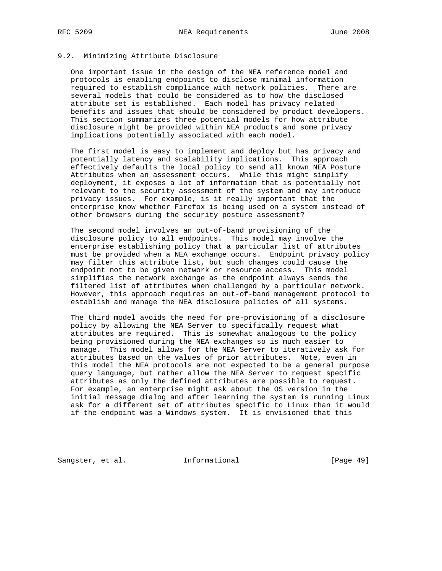## 9.2. Minimizing Attribute Disclosure

 One important issue in the design of the NEA reference model and protocols is enabling endpoints to disclose minimal information required to establish compliance with network policies. There are several models that could be considered as to how the disclosed attribute set is established. Each model has privacy related benefits and issues that should be considered by product developers. This section summarizes three potential models for how attribute disclosure might be provided within NEA products and some privacy implications potentially associated with each model.

 The first model is easy to implement and deploy but has privacy and potentially latency and scalability implications. This approach effectively defaults the local policy to send all known NEA Posture Attributes when an assessment occurs. While this might simplify deployment, it exposes a lot of information that is potentially not relevant to the security assessment of the system and may introduce privacy issues. For example, is it really important that the enterprise know whether Firefox is being used on a system instead of other browsers during the security posture assessment?

 The second model involves an out-of-band provisioning of the disclosure policy to all endpoints. This model may involve the enterprise establishing policy that a particular list of attributes must be provided when a NEA exchange occurs. Endpoint privacy policy may filter this attribute list, but such changes could cause the endpoint not to be given network or resource access. This model simplifies the network exchange as the endpoint always sends the filtered list of attributes when challenged by a particular network. However, this approach requires an out-of-band management protocol to establish and manage the NEA disclosure policies of all systems.

 The third model avoids the need for pre-provisioning of a disclosure policy by allowing the NEA Server to specifically request what attributes are required. This is somewhat analogous to the policy being provisioned during the NEA exchanges so is much easier to manage. This model allows for the NEA Server to iteratively ask for attributes based on the values of prior attributes. Note, even in this model the NEA protocols are not expected to be a general purpose query language, but rather allow the NEA Server to request specific attributes as only the defined attributes are possible to request. For example, an enterprise might ask about the OS version in the initial message dialog and after learning the system is running Linux ask for a different set of attributes specific to Linux than it would if the endpoint was a Windows system. It is envisioned that this

Sangster, et al. 1nformational [Page 49]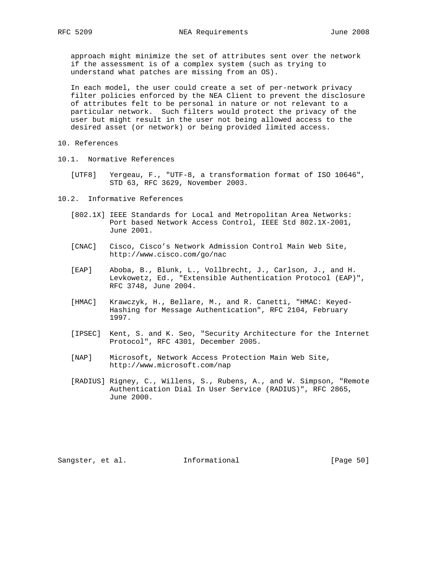approach might minimize the set of attributes sent over the network if the assessment is of a complex system (such as trying to understand what patches are missing from an OS).

 In each model, the user could create a set of per-network privacy filter policies enforced by the NEA Client to prevent the disclosure of attributes felt to be personal in nature or not relevant to a particular network. Such filters would protect the privacy of the user but might result in the user not being allowed access to the desired asset (or network) or being provided limited access.

- 10. References
- 10.1. Normative References
	- [UTF8] Yergeau, F., "UTF-8, a transformation format of ISO 10646", STD 63, RFC 3629, November 2003.
- 10.2. Informative References
	- [802.1X] IEEE Standards for Local and Metropolitan Area Networks: Port based Network Access Control, IEEE Std 802.1X-2001, June 2001.
	- [CNAC] Cisco, Cisco's Network Admission Control Main Web Site, http://www.cisco.com/go/nac
	- [EAP] Aboba, B., Blunk, L., Vollbrecht, J., Carlson, J., and H. Levkowetz, Ed., "Extensible Authentication Protocol (EAP)", RFC 3748, June 2004.
	- [HMAC] Krawczyk, H., Bellare, M., and R. Canetti, "HMAC: Keyed- Hashing for Message Authentication", RFC 2104, February 1997.
	- [IPSEC] Kent, S. and K. Seo, "Security Architecture for the Internet Protocol", RFC 4301, December 2005.
	- [NAP] Microsoft, Network Access Protection Main Web Site, http://www.microsoft.com/nap
	- [RADIUS] Rigney, C., Willens, S., Rubens, A., and W. Simpson, "Remote Authentication Dial In User Service (RADIUS)", RFC 2865, June 2000.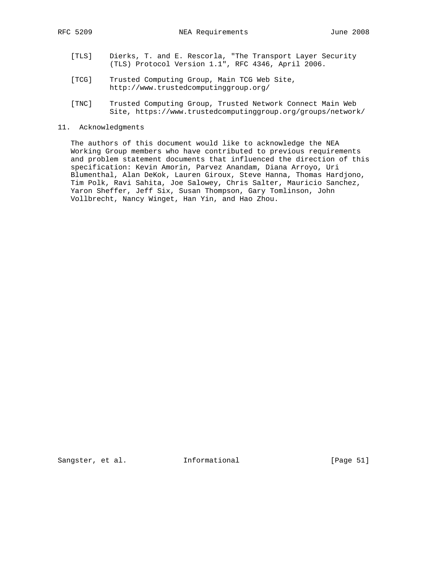- [TLS] Dierks, T. and E. Rescorla, "The Transport Layer Security (TLS) Protocol Version 1.1", RFC 4346, April 2006.
	- [TCG] Trusted Computing Group, Main TCG Web Site, http://www.trustedcomputinggroup.org/
	- [TNC] Trusted Computing Group, Trusted Network Connect Main Web Site, https://www.trustedcomputinggroup.org/groups/network/
- 11. Acknowledgments

 The authors of this document would like to acknowledge the NEA Working Group members who have contributed to previous requirements and problem statement documents that influenced the direction of this specification: Kevin Amorin, Parvez Anandam, Diana Arroyo, Uri Blumenthal, Alan DeKok, Lauren Giroux, Steve Hanna, Thomas Hardjono, Tim Polk, Ravi Sahita, Joe Salowey, Chris Salter, Mauricio Sanchez, Yaron Sheffer, Jeff Six, Susan Thompson, Gary Tomlinson, John Vollbrecht, Nancy Winget, Han Yin, and Hao Zhou.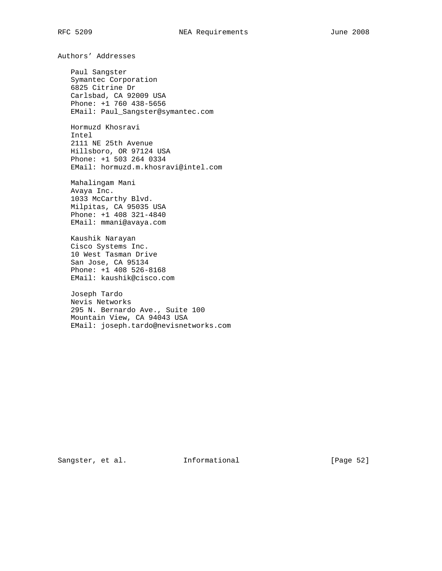Authors' Addresses

 Paul Sangster Symantec Corporation 6825 Citrine Dr Carlsbad, CA 92009 USA Phone: +1 760 438-5656 EMail: Paul\_Sangster@symantec.com

 Hormuzd Khosravi Intel 2111 NE 25th Avenue Hillsboro, OR 97124 USA Phone: +1 503 264 0334 EMail: hormuzd.m.khosravi@intel.com

 Mahalingam Mani Avaya Inc. 1033 McCarthy Blvd. Milpitas, CA 95035 USA Phone: +1 408 321-4840 EMail: mmani@avaya.com

 Kaushik Narayan Cisco Systems Inc. 10 West Tasman Drive San Jose, CA 95134 Phone: +1 408 526-8168 EMail: kaushik@cisco.com

 Joseph Tardo Nevis Networks 295 N. Bernardo Ave., Suite 100 Mountain View, CA 94043 USA EMail: joseph.tardo@nevisnetworks.com

Sangster, et al. 1nformational [Page 52]